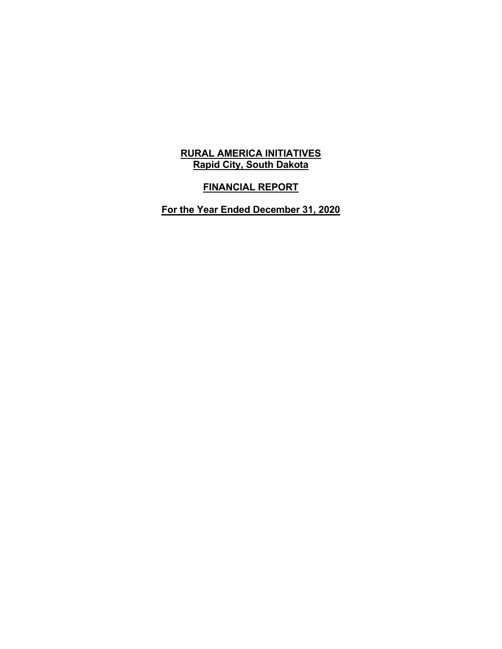# **FINANCIAL REPORT**

**For the Year Ended December 31, 2020**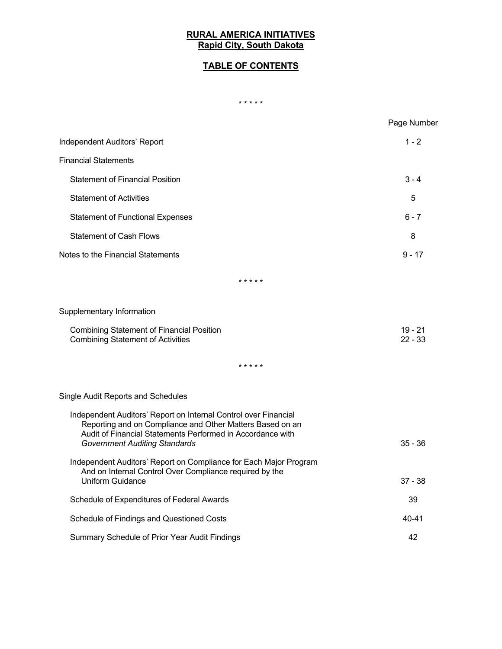# **TABLE OF CONTENTS**

#### \* \* \* \* \*

|                                                                                                                                                                                                                                    | Page Number          |
|------------------------------------------------------------------------------------------------------------------------------------------------------------------------------------------------------------------------------------|----------------------|
| Independent Auditors' Report                                                                                                                                                                                                       | $1 - 2$              |
| <b>Financial Statements</b>                                                                                                                                                                                                        |                      |
| <b>Statement of Financial Position</b>                                                                                                                                                                                             | $3 - 4$              |
| <b>Statement of Activities</b>                                                                                                                                                                                                     | 5                    |
| <b>Statement of Functional Expenses</b>                                                                                                                                                                                            | $6 - 7$              |
| <b>Statement of Cash Flows</b>                                                                                                                                                                                                     | 8                    |
| Notes to the Financial Statements                                                                                                                                                                                                  | $9 - 17$             |
| *****                                                                                                                                                                                                                              |                      |
| Supplementary Information                                                                                                                                                                                                          |                      |
| <b>Combining Statement of Financial Position</b><br><b>Combining Statement of Activities</b>                                                                                                                                       | 19 - 21<br>$22 - 33$ |
| *****                                                                                                                                                                                                                              |                      |
| Single Audit Reports and Schedules                                                                                                                                                                                                 |                      |
| Independent Auditors' Report on Internal Control over Financial<br>Reporting and on Compliance and Other Matters Based on an<br>Audit of Financial Statements Performed in Accordance with<br><b>Government Auditing Standards</b> | $35 - 36$            |
| Independent Auditors' Report on Compliance for Each Major Program<br>And on Internal Control Over Compliance required by the<br><b>Uniform Guidance</b>                                                                            | $37 - 38$            |
| Schedule of Expenditures of Federal Awards                                                                                                                                                                                         | 39                   |
| Schedule of Findings and Questioned Costs                                                                                                                                                                                          | 40-41                |
| Summary Schedule of Prior Year Audit Findings                                                                                                                                                                                      | 42                   |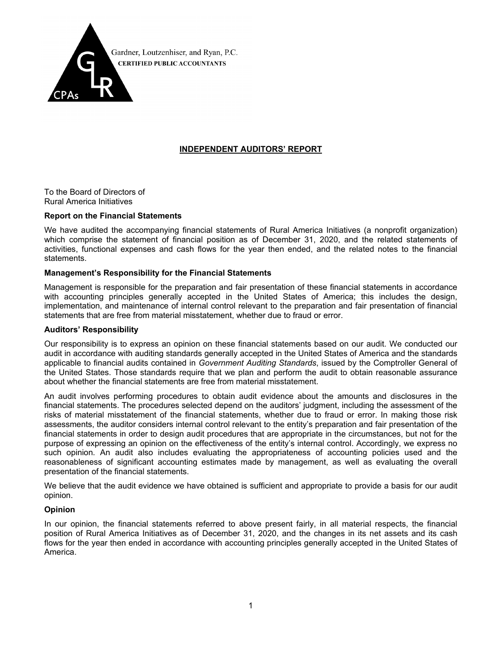

### **INDEPENDENT AUDITORS' REPORT**

To the Board of Directors of Rural America Initiatives

#### **Report on the Financial Statements**

We have audited the accompanying financial statements of Rural America Initiatives (a nonprofit organization) which comprise the statement of financial position as of December 31, 2020, and the related statements of activities, functional expenses and cash flows for the year then ended, and the related notes to the financial statements.

#### **Management's Responsibility for the Financial Statements**

Management is responsible for the preparation and fair presentation of these financial statements in accordance with accounting principles generally accepted in the United States of America; this includes the design, implementation, and maintenance of internal control relevant to the preparation and fair presentation of financial statements that are free from material misstatement, whether due to fraud or error.

#### **Auditors' Responsibility**

Our responsibility is to express an opinion on these financial statements based on our audit. We conducted our audit in accordance with auditing standards generally accepted in the United States of America and the standards applicable to financial audits contained in *Government Auditing Standards*, issued by the Comptroller General of the United States. Those standards require that we plan and perform the audit to obtain reasonable assurance about whether the financial statements are free from material misstatement.

An audit involves performing procedures to obtain audit evidence about the amounts and disclosures in the financial statements. The procedures selected depend on the auditors' judgment, including the assessment of the risks of material misstatement of the financial statements, whether due to fraud or error. In making those risk assessments, the auditor considers internal control relevant to the entity's preparation and fair presentation of the financial statements in order to design audit procedures that are appropriate in the circumstances, but not for the purpose of expressing an opinion on the effectiveness of the entity's internal control. Accordingly, we express no such opinion. An audit also includes evaluating the appropriateness of accounting policies used and the reasonableness of significant accounting estimates made by management, as well as evaluating the overall presentation of the financial statements.

We believe that the audit evidence we have obtained is sufficient and appropriate to provide a basis for our audit opinion.

#### **Opinion**

In our opinion, the financial statements referred to above present fairly, in all material respects, the financial position of Rural America Initiatives as of December 31, 2020, and the changes in its net assets and its cash flows for the year then ended in accordance with accounting principles generally accepted in the United States of America.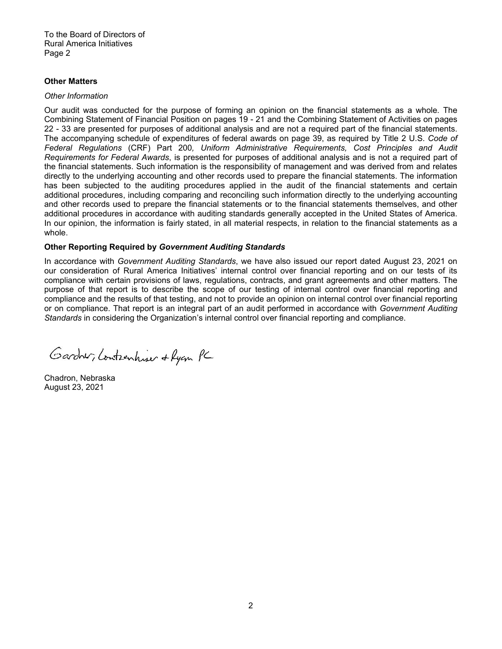To the Board of Directors of Rural America Initiatives Page 2

#### **Other Matters**

#### *Other Information*

Our audit was conducted for the purpose of forming an opinion on the financial statements as a whole. The Combining Statement of Financial Position on pages 19 - 21 and the Combining Statement of Activities on pages 22 - 33 are presented for purposes of additional analysis and are not a required part of the financial statements. The accompanying schedule of expenditures of federal awards on page 39, as required by Title 2 U.S. *Code of Federal Regulations* (CRF) Part 200*, Uniform Administrative Requirements, Cost Principles and Audit Requirements for Federal Awards*, is presented for purposes of additional analysis and is not a required part of the financial statements. Such information is the responsibility of management and was derived from and relates directly to the underlying accounting and other records used to prepare the financial statements. The information has been subjected to the auditing procedures applied in the audit of the financial statements and certain additional procedures, including comparing and reconciling such information directly to the underlying accounting and other records used to prepare the financial statements or to the financial statements themselves, and other additional procedures in accordance with auditing standards generally accepted in the United States of America. In our opinion, the information is fairly stated, in all material respects, in relation to the financial statements as a whole.

#### **Other Reporting Required by** *Government Auditing Standards*

In accordance with *Government Auditing Standards*, we have also issued our report dated August 23, 2021 on our consideration of Rural America Initiatives' internal control over financial reporting and on our tests of its compliance with certain provisions of laws, regulations, contracts, and grant agreements and other matters. The purpose of that report is to describe the scope of our testing of internal control over financial reporting and compliance and the results of that testing, and not to provide an opinion on internal control over financial reporting or on compliance. That report is an integral part of an audit performed in accordance with *Government Auditing Standards* in considering the Organization's internal control over financial reporting and compliance.

Gardner, Londsenhiser & fyan PC

Chadron, Nebraska August 23, 2021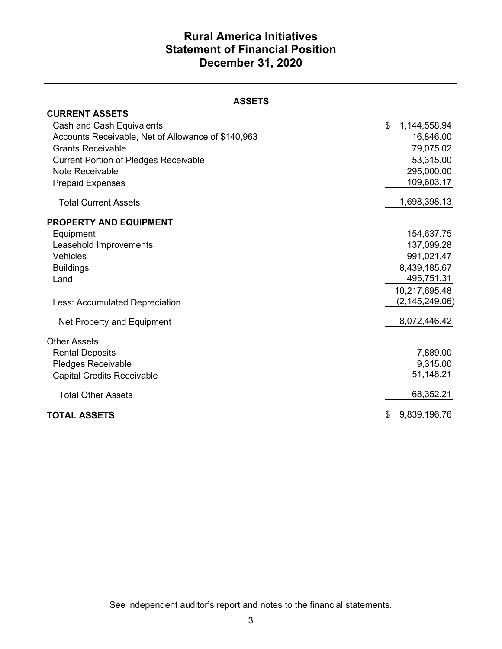# **Rural America Initiatives Statement of Financial Position December 31, 2020**

| <b>ASSETS</b>                                                                                                                                                                                                                             |                                                                                                                           |
|-------------------------------------------------------------------------------------------------------------------------------------------------------------------------------------------------------------------------------------------|---------------------------------------------------------------------------------------------------------------------------|
| <b>CURRENT ASSETS</b><br><b>Cash and Cash Equivalents</b><br>Accounts Receivable, Net of Allowance of \$140,963<br><b>Grants Receivable</b><br><b>Current Portion of Pledges Receivable</b><br>Note Receivable<br><b>Prepaid Expenses</b> | \$<br>1,144,558.94<br>16,846.00<br>79,075.02<br>53,315.00<br>295,000.00<br>109,603.17                                     |
| <b>Total Current Assets</b>                                                                                                                                                                                                               | 1,698,398.13                                                                                                              |
| <b>PROPERTY AND EQUIPMENT</b><br>Equipment<br>Leasehold Improvements<br>Vehicles<br><b>Buildings</b><br>Land<br><b>Less: Accumulated Depreciation</b><br>Net Property and Equipment                                                       | 154,637.75<br>137,099.28<br>991,021.47<br>8,439,185.67<br>495,751.31<br>10,217,695.48<br>(2, 145, 249.06)<br>8,072,446.42 |
| <b>Other Assets</b><br><b>Rental Deposits</b><br>Pledges Receivable<br><b>Capital Credits Receivable</b><br><b>Total Other Assets</b>                                                                                                     | 7,889.00<br>9,315.00<br>51,148.21<br>68,352.21                                                                            |
| <b>TOTAL ASSETS</b>                                                                                                                                                                                                                       | \$<br>9,839,196.76                                                                                                        |
|                                                                                                                                                                                                                                           |                                                                                                                           |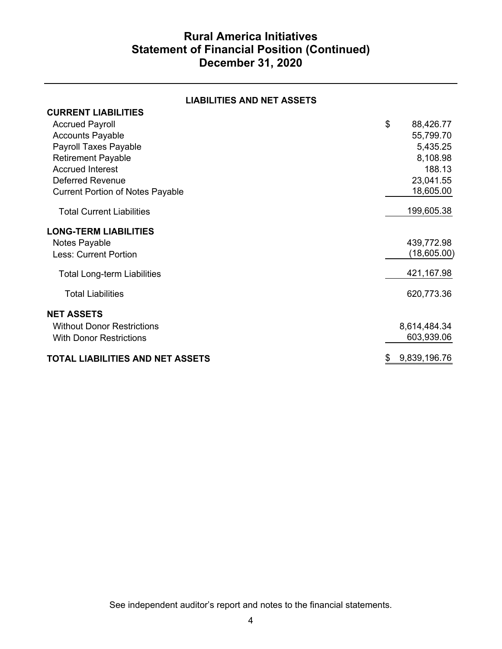# **Rural America Initiatives Statement of Financial Position (Continued) December 31, 2020**

### **LIABILITIES AND NET ASSETS**

| <b>CURRENT LIABILITIES</b>              |                    |
|-----------------------------------------|--------------------|
| <b>Accrued Payroll</b>                  | \$<br>88,426.77    |
| <b>Accounts Payable</b>                 | 55,799.70          |
| Payroll Taxes Payable                   | 5,435.25           |
| <b>Retirement Payable</b>               | 8,108.98           |
| <b>Accrued Interest</b>                 | 188.13             |
| <b>Deferred Revenue</b>                 | 23,041.55          |
| <b>Current Portion of Notes Payable</b> | 18,605.00          |
| <b>Total Current Liabilities</b>        | 199,605.38         |
| <b>LONG-TERM LIABILITIES</b>            |                    |
| Notes Payable                           | 439,772.98         |
| <b>Less: Current Portion</b>            | (18,605.00)        |
| <b>Total Long-term Liabilities</b>      | 421,167.98         |
| <b>Total Liabilities</b>                | 620,773.36         |
| <b>NET ASSETS</b>                       |                    |
| <b>Without Donor Restrictions</b>       | 8,614,484.34       |
| <b>With Donor Restrictions</b>          | 603,939.06         |
| <b>TOTAL LIABILITIES AND NET ASSETS</b> | 9,839,196.76<br>\$ |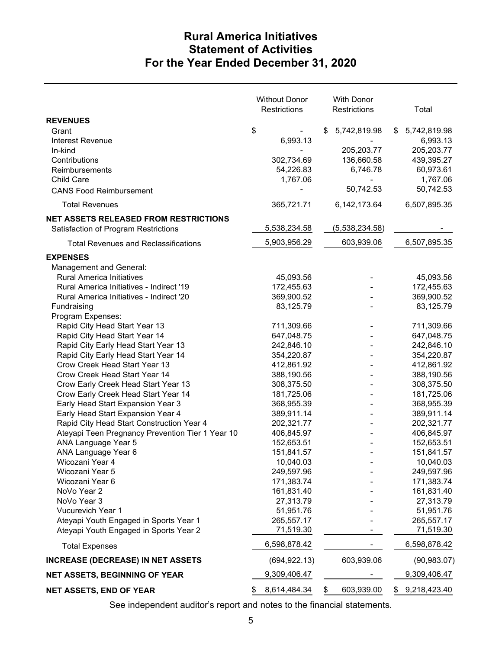# **Rural America Initiatives Statement of Activities For the Year Ended December 31, 2020**

|                                                                                  | <b>Without Donor</b><br>Restrictions | <b>With Donor</b><br>Restrictions |    | Total                   |
|----------------------------------------------------------------------------------|--------------------------------------|-----------------------------------|----|-------------------------|
| <b>REVENUES</b>                                                                  |                                      |                                   |    |                         |
| Grant                                                                            | \$                                   | \$<br>5,742,819.98                | S  | 5,742,819.98            |
| <b>Interest Revenue</b>                                                          | 6,993.13                             |                                   |    | 6,993.13                |
| In-kind                                                                          | 302,734.69                           | 205,203.77<br>136,660.58          |    | 205,203.77              |
| Contributions<br>Reimbursements                                                  | 54,226.83                            | 6,746.78                          |    | 439,395.27<br>60,973.61 |
| <b>Child Care</b>                                                                | 1,767.06                             |                                   |    | 1,767.06                |
|                                                                                  |                                      | 50,742.53                         |    | 50,742.53               |
| <b>CANS Food Reimbursement</b><br><b>Total Revenues</b>                          |                                      |                                   |    |                         |
|                                                                                  | 365,721.71                           | 6,142,173.64                      |    | 6,507,895.35            |
| <b>NET ASSETS RELEASED FROM RESTRICTIONS</b>                                     |                                      |                                   |    |                         |
| Satisfaction of Program Restrictions                                             | 5,538,234.58                         | (5,538,234.58)                    |    |                         |
| <b>Total Revenues and Reclassifications</b>                                      | 5,903,956.29                         | 603,939.06                        |    | 6,507,895.35            |
| <b>EXPENSES</b>                                                                  |                                      |                                   |    |                         |
| Management and General:                                                          |                                      |                                   |    |                         |
| <b>Rural America Initiatives</b>                                                 | 45,093.56                            |                                   |    | 45,093.56               |
| Rural America Initiatives - Indirect '19                                         | 172,455.63                           |                                   |    | 172,455.63              |
| Rural America Initiatives - Indirect '20                                         | 369,900.52                           |                                   |    | 369,900.52              |
| Fundraising                                                                      | 83,125.79                            |                                   |    | 83,125.79               |
| Program Expenses:                                                                |                                      |                                   |    |                         |
| Rapid City Head Start Year 13                                                    | 711,309.66                           |                                   |    | 711,309.66              |
| Rapid City Head Start Year 14                                                    | 647,048.75                           |                                   |    | 647,048.75              |
| Rapid City Early Head Start Year 13                                              | 242,846.10                           |                                   |    | 242,846.10              |
| Rapid City Early Head Start Year 14                                              | 354,220.87                           |                                   |    | 354,220.87              |
| Crow Creek Head Start Year 13                                                    | 412,861.92                           |                                   |    | 412,861.92              |
| Crow Creek Head Start Year 14                                                    | 388,190.56                           |                                   |    | 388,190.56              |
| Crow Early Creek Head Start Year 13                                              | 308,375.50                           |                                   |    | 308,375.50              |
| Crow Early Creek Head Start Year 14                                              | 181,725.06                           |                                   |    | 181,725.06              |
| Early Head Start Expansion Year 3                                                | 368,955.39                           |                                   |    | 368,955.39              |
| Early Head Start Expansion Year 4                                                | 389,911.14                           |                                   |    | 389,911.14              |
| Rapid City Head Start Construction Year 4                                        | 202,321.77                           |                                   |    | 202,321.77              |
| Ateyapi Teen Pregnancy Prevention Tier 1 Year 10                                 | 406,845.97                           |                                   |    | 406,845.97              |
| ANA Language Year 5                                                              | 152,653.51                           |                                   |    | 152,653.51              |
| ANA Language Year 6                                                              | 151,841.57<br>10,040.03              |                                   |    | 151,841.57              |
| Wicozani Year 4<br>Wicozani Year 5                                               | 249,597.96                           |                                   |    | 10,040.03<br>249,597.96 |
| Wicozani Year 6                                                                  | 171,383.74                           |                                   |    |                         |
| NoVo Year 2                                                                      | 161,831.40                           |                                   |    | 171,383.74              |
| NoVo Year 3                                                                      |                                      |                                   |    | 161,831.40              |
| Vucurevich Year 1                                                                | 27,313.79                            |                                   |    | 27,313.79               |
|                                                                                  | 51,951.76                            |                                   |    | 51,951.76               |
| Ateyapi Youth Engaged in Sports Year 1<br>Ateyapi Youth Engaged in Sports Year 2 | 265,557.17<br>71,519.30              |                                   |    | 265,557.17<br>71,519.30 |
| <b>Total Expenses</b>                                                            | 6,598,878.42                         |                                   |    | 6,598,878.42            |
| <b>INCREASE (DECREASE) IN NET ASSETS</b>                                         | (694, 922.13)                        | 603,939.06                        |    | (90, 983.07)            |
| <b>NET ASSETS, BEGINNING OF YEAR</b>                                             | 9,309,406.47                         |                                   |    | 9,309,406.47            |
| <b>NET ASSETS, END OF YEAR</b>                                                   | \$<br>8,614,484.34                   | \$<br>603,939.00                  | \$ | 9,218,423.40            |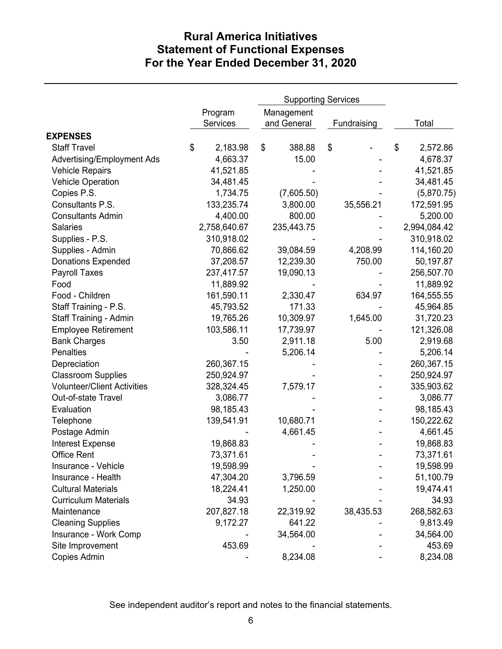# **Rural America Initiatives Statement of Functional Expenses For the Year Ended December 31, 2020**

|                                    |                 |              | <b>Supporting Services</b> |                |
|------------------------------------|-----------------|--------------|----------------------------|----------------|
|                                    | Program         | Management   |                            |                |
|                                    | <b>Services</b> | and General  | Fundraising                | Total          |
| <b>EXPENSES</b>                    |                 |              |                            |                |
| <b>Staff Travel</b>                | \$<br>2,183.98  | \$<br>388.88 | \$                         | \$<br>2,572.86 |
| Advertising/Employment Ads         | 4,663.37        | 15.00        |                            | 4,678.37       |
| <b>Vehicle Repairs</b>             | 41,521.85       |              |                            | 41,521.85      |
| <b>Vehicle Operation</b>           | 34,481.45       |              |                            | 34,481.45      |
| Copies P.S.                        | 1,734.75        | (7,605.50)   |                            | (5,870.75)     |
| Consultants P.S.                   | 133,235.74      | 3,800.00     | 35,556.21                  | 172,591.95     |
| <b>Consultants Admin</b>           | 4,400.00        | 800.00       |                            | 5,200.00       |
| <b>Salaries</b>                    | 2,758,640.67    | 235,443.75   |                            | 2,994,084.42   |
| Supplies - P.S.                    | 310,918.02      |              |                            | 310,918.02     |
| Supplies - Admin                   | 70,866.62       | 39,084.59    | 4,208.99                   | 114,160.20     |
| <b>Donations Expended</b>          | 37,208.57       | 12,239.30    | 750.00                     | 50,197.87      |
| <b>Payroll Taxes</b>               | 237,417.57      | 19,090.13    |                            | 256,507.70     |
| Food                               | 11,889.92       |              |                            | 11,889.92      |
| Food - Children                    | 161,590.11      | 2,330.47     | 634.97                     | 164,555.55     |
| Staff Training - P.S.              | 45,793.52       | 171.33       |                            | 45,964.85      |
| Staff Training - Admin             | 19,765.26       | 10,309.97    | 1,645.00                   | 31,720.23      |
| <b>Employee Retirement</b>         | 103,586.11      | 17,739.97    |                            | 121,326.08     |
| <b>Bank Charges</b>                | 3.50            | 2,911.18     | 5.00                       | 2,919.68       |
| <b>Penalties</b>                   |                 | 5,206.14     |                            | 5,206.14       |
| Depreciation                       | 260,367.15      |              |                            | 260,367.15     |
| <b>Classroom Supplies</b>          | 250,924.97      |              |                            | 250,924.97     |
| <b>Volunteer/Client Activities</b> | 328,324.45      | 7,579.17     |                            | 335,903.62     |
| Out-of-state Travel                | 3,086.77        |              |                            | 3,086.77       |
| Evaluation                         | 98,185.43       |              |                            | 98,185.43      |
| Telephone                          | 139,541.91      | 10,680.71    |                            | 150,222.62     |
| Postage Admin                      |                 | 4,661.45     |                            | 4,661.45       |
| <b>Interest Expense</b>            | 19,868.83       |              |                            | 19,868.83      |
| <b>Office Rent</b>                 | 73,371.61       |              |                            | 73,371.61      |
| Insurance - Vehicle                | 19,598.99       |              |                            | 19,598.99      |
| Insurance - Health                 | 47,304.20       | 3,796.59     |                            | 51,100.79      |
| <b>Cultural Materials</b>          | 18,224.41       | 1,250.00     |                            | 19,474.41      |
| <b>Curriculum Materials</b>        | 34.93           |              |                            | 34.93          |
| Maintenance                        | 207,827.18      | 22,319.92    | 38,435.53                  | 268,582.63     |
| <b>Cleaning Supplies</b>           | 9,172.27        | 641.22       |                            | 9,813.49       |
| Insurance - Work Comp              |                 | 34,564.00    |                            | 34,564.00      |
| Site Improvement                   | 453.69          |              |                            | 453.69         |
| Copies Admin                       |                 | 8,234.08     |                            | 8,234.08       |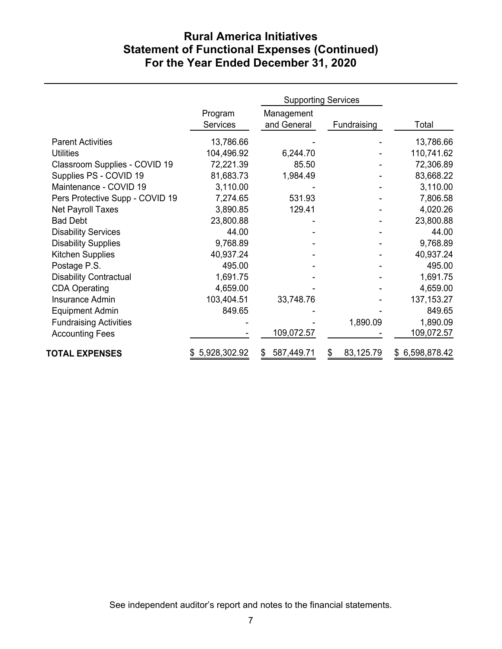# **Rural America Initiatives Statement of Functional Expenses (Continued) For the Year Ended December 31, 2020**

|                                 |                 |                  | <b>Supporting Services</b> |                    |
|---------------------------------|-----------------|------------------|----------------------------|--------------------|
|                                 | Program         | Management       |                            |                    |
|                                 | <b>Services</b> | and General      | Fundraising                | Total              |
| <b>Parent Activities</b>        | 13,786.66       |                  |                            | 13,786.66          |
| <b>Utilities</b>                | 104,496.92      | 6,244.70         |                            | 110,741.62         |
| Classroom Supplies - COVID 19   | 72,221.39       | 85.50            |                            | 72,306.89          |
| Supplies PS - COVID 19          | 81,683.73       | 1,984.49         |                            | 83,668.22          |
| Maintenance - COVID 19          | 3,110.00        |                  |                            | 3,110.00           |
| Pers Protective Supp - COVID 19 | 7,274.65        | 531.93           |                            | 7,806.58           |
| <b>Net Payroll Taxes</b>        | 3,890.85        | 129.41           |                            | 4,020.26           |
| <b>Bad Debt</b>                 | 23,800.88       |                  |                            | 23,800.88          |
| <b>Disability Services</b>      | 44.00           |                  |                            | 44.00              |
| <b>Disability Supplies</b>      | 9,768.89        |                  |                            | 9,768.89           |
| <b>Kitchen Supplies</b>         | 40,937.24       |                  |                            | 40,937.24          |
| Postage P.S.                    | 495.00          |                  |                            | 495.00             |
| <b>Disability Contractual</b>   | 1,691.75        |                  |                            | 1,691.75           |
| <b>CDA Operating</b>            | 4,659.00        |                  |                            | 4,659.00           |
| Insurance Admin                 | 103,404.51      | 33,748.76        |                            | 137, 153. 27       |
| <b>Equipment Admin</b>          | 849.65          |                  |                            | 849.65             |
| <b>Fundraising Activities</b>   |                 |                  | 1,890.09                   | 1,890.09           |
| <b>Accounting Fees</b>          |                 | 109,072.57       |                            | 109,072.57         |
| <b>TOTAL EXPENSES</b>           | 5,928,302.92    | 587,449.71<br>\$ | 83,125.79                  | 6,598,878.42<br>\$ |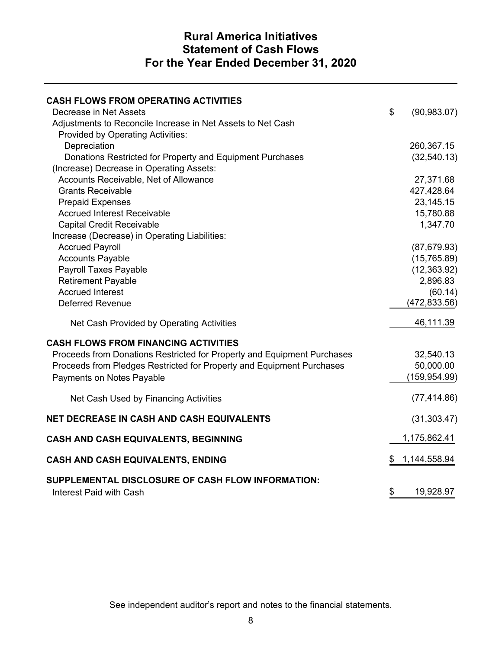# **Rural America Initiatives Statement of Cash Flows For the Year Ended December 31, 2020**

| <b>CASH FLOWS FROM OPERATING ACTIVITIES</b>                             |                    |
|-------------------------------------------------------------------------|--------------------|
| Decrease in Net Assets                                                  | \$<br>(90, 983.07) |
| Adjustments to Reconcile Increase in Net Assets to Net Cash             |                    |
| <b>Provided by Operating Activities:</b>                                |                    |
| Depreciation                                                            | 260,367.15         |
| Donations Restricted for Property and Equipment Purchases               | (32, 540.13)       |
| (Increase) Decrease in Operating Assets:                                |                    |
| Accounts Receivable, Net of Allowance                                   | 27,371.68          |
| <b>Grants Receivable</b>                                                | 427,428.64         |
| <b>Prepaid Expenses</b>                                                 | 23,145.15          |
| <b>Accrued Interest Receivable</b>                                      | 15,780.88          |
| <b>Capital Credit Receivable</b>                                        | 1,347.70           |
| Increase (Decrease) in Operating Liabilities:                           |                    |
| <b>Accrued Payroll</b>                                                  | (87, 679.93)       |
| <b>Accounts Payable</b>                                                 | (15, 765.89)       |
| Payroll Taxes Payable                                                   | (12, 363.92)       |
| <b>Retirement Payable</b>                                               | 2,896.83           |
| <b>Accrued Interest</b>                                                 | (60.14)            |
| <b>Deferred Revenue</b>                                                 | (472, 833.56)      |
| Net Cash Provided by Operating Activities                               | 46,111.39          |
| <b>CASH FLOWS FROM FINANCING ACTIVITIES</b>                             |                    |
| Proceeds from Donations Restricted for Property and Equipment Purchases | 32,540.13          |
| Proceeds from Pledges Restricted for Property and Equipment Purchases   | 50,000.00          |
| Payments on Notes Payable                                               | (159, 954.99)      |
| Net Cash Used by Financing Activities                                   | (77, 414.86)       |
| NET DECREASE IN CASH AND CASH EQUIVALENTS                               | (31, 303.47)       |
| <b>CASH AND CASH EQUIVALENTS, BEGINNING</b>                             | 1,175,862.41       |
| <b>CASH AND CASH EQUIVALENTS, ENDING</b>                                | \$<br>1,144,558.94 |
| SUPPLEMENTAL DISCLOSURE OF CASH FLOW INFORMATION:                       |                    |
| <b>Interest Paid with Cash</b>                                          | \$<br>19,928.97    |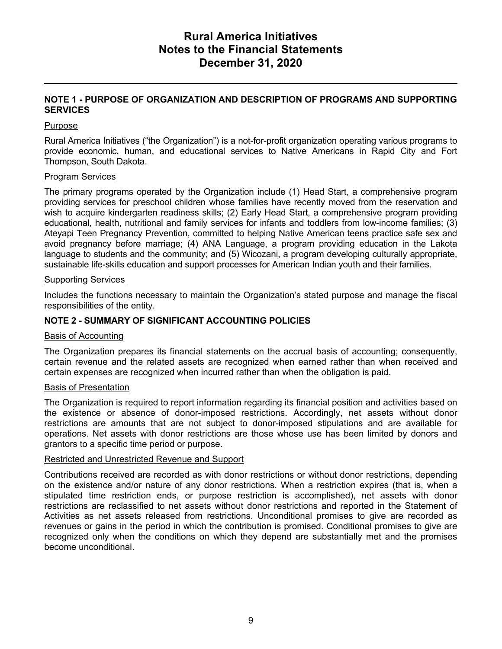## **NOTE 1 - PURPOSE OF ORGANIZATION AND DESCRIPTION OF PROGRAMS AND SUPPORTING SERVICES**

## Purpose

Rural America Initiatives ("the Organization") is a not-for-profit organization operating various programs to provide economic, human, and educational services to Native Americans in Rapid City and Fort Thompson, South Dakota.

### Program Services

The primary programs operated by the Organization include (1) Head Start, a comprehensive program providing services for preschool children whose families have recently moved from the reservation and wish to acquire kindergarten readiness skills; (2) Early Head Start, a comprehensive program providing educational, health, nutritional and family services for infants and toddlers from low-income families; (3) Ateyapi Teen Pregnancy Prevention, committed to helping Native American teens practice safe sex and avoid pregnancy before marriage; (4) ANA Language, a program providing education in the Lakota language to students and the community; and (5) Wicozani, a program developing culturally appropriate, sustainable life-skills education and support processes for American Indian youth and their families.

### Supporting Services

Includes the functions necessary to maintain the Organization's stated purpose and manage the fiscal responsibilities of the entity.

### **NOTE 2 - SUMMARY OF SIGNIFICANT ACCOUNTING POLICIES**

### Basis of Accounting

The Organization prepares its financial statements on the accrual basis of accounting; consequently, certain revenue and the related assets are recognized when earned rather than when received and certain expenses are recognized when incurred rather than when the obligation is paid.

### Basis of Presentation

The Organization is required to report information regarding its financial position and activities based on the existence or absence of donor-imposed restrictions. Accordingly, net assets without donor restrictions are amounts that are not subject to donor-imposed stipulations and are available for operations. Net assets with donor restrictions are those whose use has been limited by donors and grantors to a specific time period or purpose.

### Restricted and Unrestricted Revenue and Support

Contributions received are recorded as with donor restrictions or without donor restrictions, depending on the existence and/or nature of any donor restrictions. When a restriction expires (that is, when a stipulated time restriction ends, or purpose restriction is accomplished), net assets with donor restrictions are reclassified to net assets without donor restrictions and reported in the Statement of Activities as net assets released from restrictions. Unconditional promises to give are recorded as revenues or gains in the period in which the contribution is promised. Conditional promises to give are recognized only when the conditions on which they depend are substantially met and the promises become unconditional.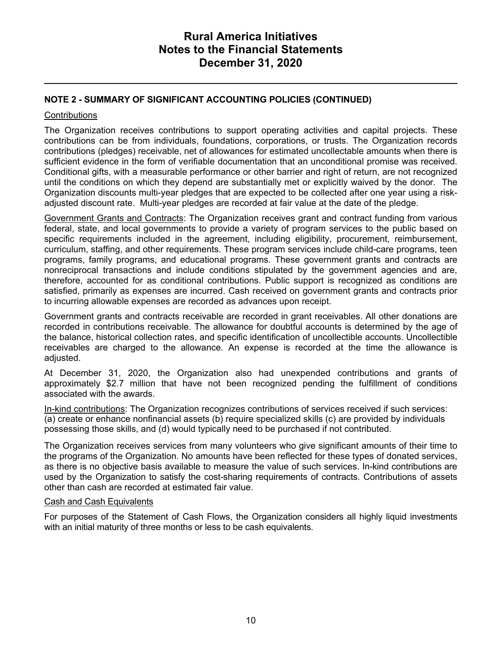### **Contributions**

The Organization receives contributions to support operating activities and capital projects. These contributions can be from individuals, foundations, corporations, or trusts. The Organization records contributions (pledges) receivable, net of allowances for estimated uncollectable amounts when there is sufficient evidence in the form of verifiable documentation that an unconditional promise was received. Conditional gifts, with a measurable performance or other barrier and right of return, are not recognized until the conditions on which they depend are substantially met or explicitly waived by the donor. The Organization discounts multi-year pledges that are expected to be collected after one year using a riskadjusted discount rate. Multi-year pledges are recorded at fair value at the date of the pledge.

Government Grants and Contracts: The Organization receives grant and contract funding from various federal, state, and local governments to provide a variety of program services to the public based on specific requirements included in the agreement, including eligibility, procurement, reimbursement, curriculum, staffing, and other requirements. These program services include child-care programs, teen programs, family programs, and educational programs. These government grants and contracts are nonreciprocal transactions and include conditions stipulated by the government agencies and are, therefore, accounted for as conditional contributions. Public support is recognized as conditions are satisfied, primarily as expenses are incurred. Cash received on government grants and contracts prior to incurring allowable expenses are recorded as advances upon receipt.

Government grants and contracts receivable are recorded in grant receivables. All other donations are recorded in contributions receivable. The allowance for doubtful accounts is determined by the age of the balance, historical collection rates, and specific identification of uncollectible accounts. Uncollectible receivables are charged to the allowance. An expense is recorded at the time the allowance is adjusted.

At December 31, 2020, the Organization also had unexpended contributions and grants of approximately \$2.7 million that have not been recognized pending the fulfillment of conditions associated with the awards.

In-kind contributions: The Organization recognizes contributions of services received if such services: (a) create or enhance nonfinancial assets (b) require specialized skills (c) are provided by individuals possessing those skills, and (d) would typically need to be purchased if not contributed.

The Organization receives services from many volunteers who give significant amounts of their time to the programs of the Organization. No amounts have been reflected for these types of donated services, as there is no objective basis available to measure the value of such services. In-kind contributions are used by the Organization to satisfy the cost-sharing requirements of contracts. Contributions of assets other than cash are recorded at estimated fair value.

### Cash and Cash Equivalents

For purposes of the Statement of Cash Flows, the Organization considers all highly liquid investments with an initial maturity of three months or less to be cash equivalents.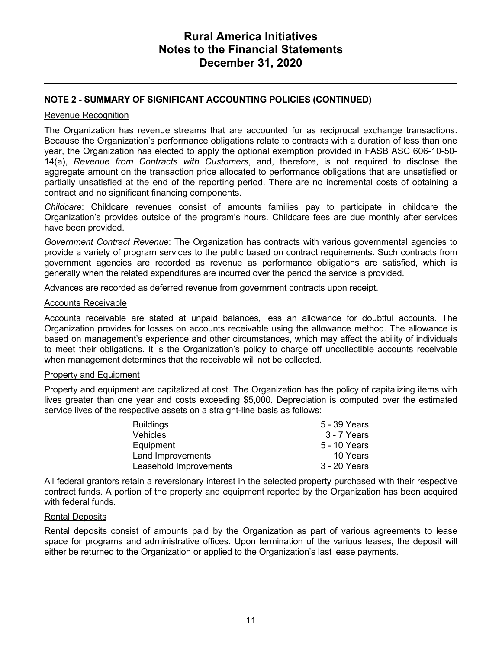### Revenue Recognition

The Organization has revenue streams that are accounted for as reciprocal exchange transactions. Because the Organization's performance obligations relate to contracts with a duration of less than one year, the Organization has elected to apply the optional exemption provided in FASB ASC 606-10-50- 14(a), *Revenue from Contracts with Customers*, and, therefore, is not required to disclose the aggregate amount on the transaction price allocated to performance obligations that are unsatisfied or partially unsatisfied at the end of the reporting period. There are no incremental costs of obtaining a contract and no significant financing components.

*Childcare*: Childcare revenues consist of amounts families pay to participate in childcare the Organization's provides outside of the program's hours. Childcare fees are due monthly after services have been provided.

*Government Contract Revenue*: The Organization has contracts with various governmental agencies to provide a variety of program services to the public based on contract requirements. Such contracts from government agencies are recorded as revenue as performance obligations are satisfied, which is generally when the related expenditures are incurred over the period the service is provided.

Advances are recorded as deferred revenue from government contracts upon receipt.

### Accounts Receivable

Accounts receivable are stated at unpaid balances, less an allowance for doubtful accounts. The Organization provides for losses on accounts receivable using the allowance method. The allowance is based on management's experience and other circumstances, which may affect the ability of individuals to meet their obligations. It is the Organization's policy to charge off uncollectible accounts receivable when management determines that the receivable will not be collected.

### Property and Equipment

Property and equipment are capitalized at cost. The Organization has the policy of capitalizing items with lives greater than one year and costs exceeding \$5,000. Depreciation is computed over the estimated service lives of the respective assets on a straight-line basis as follows:

| <b>Buildings</b>       | 5 - 39 Years |
|------------------------|--------------|
| <b>Vehicles</b>        | 3 - 7 Years  |
| Equipment              | 5 - 10 Years |
| Land Improvements      | 10 Years     |
| Leasehold Improvements | 3 - 20 Years |

All federal grantors retain a reversionary interest in the selected property purchased with their respective contract funds. A portion of the property and equipment reported by the Organization has been acquired with federal funds.

### Rental Deposits

Rental deposits consist of amounts paid by the Organization as part of various agreements to lease space for programs and administrative offices. Upon termination of the various leases, the deposit will either be returned to the Organization or applied to the Organization's last lease payments.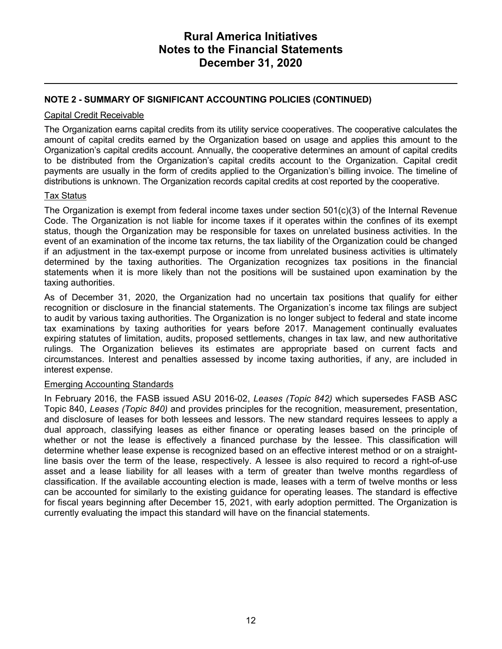### Capital Credit Receivable

The Organization earns capital credits from its utility service cooperatives. The cooperative calculates the amount of capital credits earned by the Organization based on usage and applies this amount to the Organization's capital credits account. Annually, the cooperative determines an amount of capital credits to be distributed from the Organization's capital credits account to the Organization. Capital credit payments are usually in the form of credits applied to the Organization's billing invoice. The timeline of distributions is unknown. The Organization records capital credits at cost reported by the cooperative.

### Tax Status

The Organization is exempt from federal income taxes under section 501(c)(3) of the Internal Revenue Code. The Organization is not liable for income taxes if it operates within the confines of its exempt status, though the Organization may be responsible for taxes on unrelated business activities. In the event of an examination of the income tax returns, the tax liability of the Organization could be changed if an adjustment in the tax-exempt purpose or income from unrelated business activities is ultimately determined by the taxing authorities. The Organization recognizes tax positions in the financial statements when it is more likely than not the positions will be sustained upon examination by the taxing authorities.

As of December 31, 2020, the Organization had no uncertain tax positions that qualify for either recognition or disclosure in the financial statements. The Organization's income tax filings are subject to audit by various taxing authorities. The Organization is no longer subject to federal and state income tax examinations by taxing authorities for years before 2017. Management continually evaluates expiring statutes of limitation, audits, proposed settlements, changes in tax law, and new authoritative rulings. The Organization believes its estimates are appropriate based on current facts and circumstances. Interest and penalties assessed by income taxing authorities, if any, are included in interest expense.

### Emerging Accounting Standards

In February 2016, the FASB issued ASU 2016-02, *Leases (Topic 842)* which supersedes FASB ASC Topic 840, *Leases (Topic 840)* and provides principles for the recognition, measurement, presentation, and disclosure of leases for both lessees and lessors. The new standard requires lessees to apply a dual approach, classifying leases as either finance or operating leases based on the principle of whether or not the lease is effectively a financed purchase by the lessee. This classification will determine whether lease expense is recognized based on an effective interest method or on a straightline basis over the term of the lease, respectively. A lessee is also required to record a right-of-use asset and a lease liability for all leases with a term of greater than twelve months regardless of classification. If the available accounting election is made, leases with a term of twelve months or less can be accounted for similarly to the existing guidance for operating leases. The standard is effective for fiscal years beginning after December 15, 2021, with early adoption permitted. The Organization is currently evaluating the impact this standard will have on the financial statements.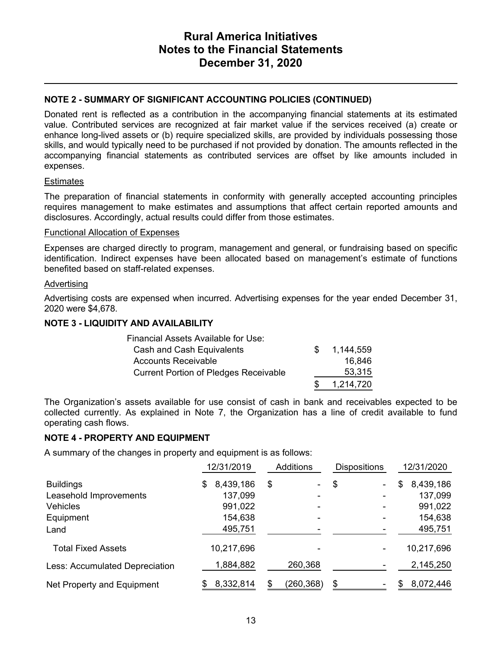Donated rent is reflected as a contribution in the accompanying financial statements at its estimated value. Contributed services are recognized at fair market value if the services received (a) create or enhance long-lived assets or (b) require specialized skills, are provided by individuals possessing those skills, and would typically need to be purchased if not provided by donation. The amounts reflected in the accompanying financial statements as contributed services are offset by like amounts included in expenses.

### **Estimates**

The preparation of financial statements in conformity with generally accepted accounting principles requires management to make estimates and assumptions that affect certain reported amounts and disclosures. Accordingly, actual results could differ from those estimates.

### Functional Allocation of Expenses

Expenses are charged directly to program, management and general, or fundraising based on specific identification. Indirect expenses have been allocated based on management's estimate of functions benefited based on staff-related expenses.

### Advertising

Advertising costs are expensed when incurred. Advertising expenses for the year ended December 31, 2020 were \$4,678.

### **NOTE 3 - LIQUIDITY AND AVAILABILITY**

| Financial Assets Available for Use:          |     |           |
|----------------------------------------------|-----|-----------|
| Cash and Cash Equivalents                    | \$. | 1,144,559 |
| <b>Accounts Receivable</b>                   |     | 16,846    |
| <b>Current Portion of Pledges Receivable</b> |     | 53,315    |
|                                              |     | 1,214,720 |

The Organization's assets available for use consist of cash in bank and receivables expected to be collected currently. As explained in Note 7, the Organization has a line of credit available to fund operating cash flows.

### **NOTE 4 - PROPERTY AND EQUIPMENT**

A summary of the changes in property and equipment is as follows:

|                                | 12/31/2019      | <b>Additions</b> | <b>Dispositions</b> | 12/31/2020     |
|--------------------------------|-----------------|------------------|---------------------|----------------|
| <b>Buildings</b>               | 8,439,186<br>\$ | \$               | \$                  | 8,439,186<br>S |
| Leasehold Improvements         | 137,099         |                  |                     | 137,099        |
| <b>Vehicles</b>                | 991,022         |                  |                     | 991,022        |
| Equipment                      | 154,638         |                  |                     | 154,638        |
| Land                           | 495,751         |                  |                     | 495,751        |
| <b>Total Fixed Assets</b>      | 10,217,696      |                  |                     | 10,217,696     |
| Less: Accumulated Depreciation | 1,884,882       | 260,368          |                     | 2,145,250      |
| Net Property and Equipment     | 8,332,814       | (260,368)        | \$                  | 8,072,446<br>S |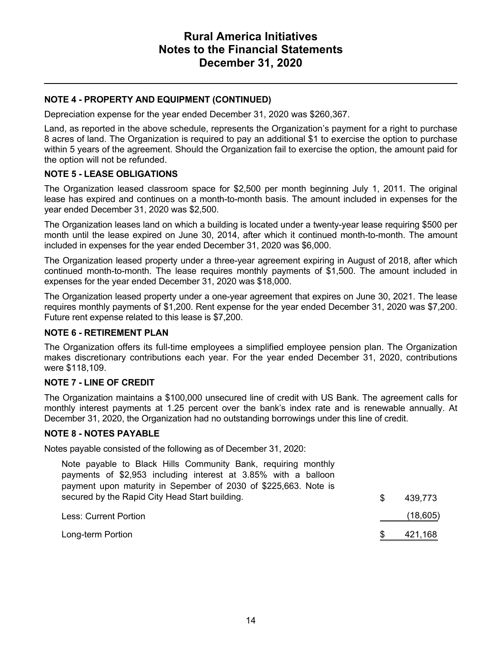## **NOTE 4 - PROPERTY AND EQUIPMENT (CONTINUED)**

Depreciation expense for the year ended December 31, 2020 was \$260,367.

Land, as reported in the above schedule, represents the Organization's payment for a right to purchase 8 acres of land. The Organization is required to pay an additional \$1 to exercise the option to purchase within 5 years of the agreement. Should the Organization fail to exercise the option, the amount paid for the option will not be refunded.

### **NOTE 5 - LEASE OBLIGATIONS**

The Organization leased classroom space for \$2,500 per month beginning July 1, 2011. The original lease has expired and continues on a month-to-month basis. The amount included in expenses for the year ended December 31, 2020 was \$2,500.

The Organization leases land on which a building is located under a twenty-year lease requiring \$500 per month until the lease expired on June 30, 2014, after which it continued month-to-month. The amount included in expenses for the year ended December 31, 2020 was \$6,000.

The Organization leased property under a three-year agreement expiring in August of 2018, after which continued month-to-month. The lease requires monthly payments of \$1,500. The amount included in expenses for the year ended December 31, 2020 was \$18,000.

The Organization leased property under a one-year agreement that expires on June 30, 2021. The lease requires monthly payments of \$1,200. Rent expense for the year ended December 31, 2020 was \$7,200. Future rent expense related to this lease is \$7,200.

### **NOTE 6 - RETIREMENT PLAN**

The Organization offers its full-time employees a simplified employee pension plan. The Organization makes discretionary contributions each year. For the year ended December 31, 2020, contributions were \$118,109.

### **NOTE 7 - LINE OF CREDIT**

The Organization maintains a \$100,000 unsecured line of credit with US Bank. The agreement calls for monthly interest payments at 1.25 percent over the bank's index rate and is renewable annually. At December 31, 2020, the Organization had no outstanding borrowings under this line of credit.

### **NOTE 8 - NOTES PAYABLE**

Notes payable consisted of the following as of December 31, 2020:

| Note payable to Black Hills Community Bank, requiring monthly<br>payments of \$2,953 including interest at 3.85% with a balloon<br>payment upon maturity in Sepember of 2030 of \$225,663. Note is |     |          |
|----------------------------------------------------------------------------------------------------------------------------------------------------------------------------------------------------|-----|----------|
| secured by the Rapid City Head Start building.                                                                                                                                                     | \$. | 439,773  |
| Less: Current Portion                                                                                                                                                                              |     | (18,605) |
| Long-term Portion                                                                                                                                                                                  |     | 421,168  |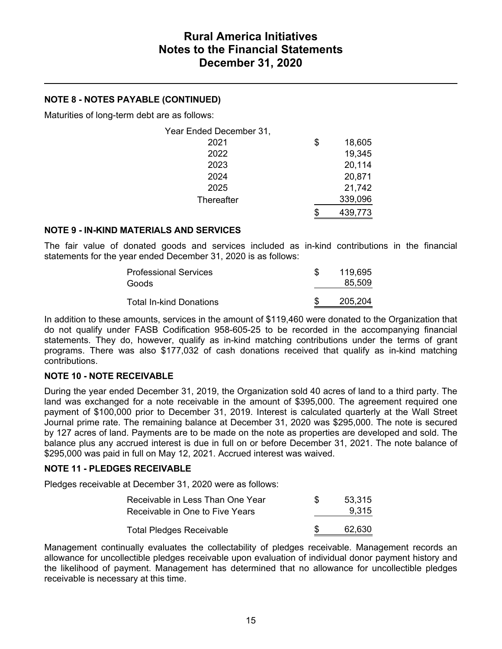# **NOTE 8 - NOTES PAYABLE (CONTINUED)**

Maturities of long-term debt are as follows:

| Year Ended December 31, |               |
|-------------------------|---------------|
| 2021                    | \$<br>18,605  |
| 2022                    | 19,345        |
| 2023                    | 20,114        |
| 2024                    | 20,871        |
| 2025                    | 21,742        |
| Thereafter              | 339,096       |
|                         | \$<br>439,773 |

### **NOTE 9 - IN-KIND MATERIALS AND SERVICES**

The fair value of donated goods and services included as in-kind contributions in the financial statements for the year ended December 31, 2020 is as follows:

| <b>Professional Services</b><br>Goods | 119,695<br>85,509 |
|---------------------------------------|-------------------|
| <b>Total In-kind Donations</b>        | 205,204           |

In addition to these amounts, services in the amount of \$119,460 were donated to the Organization that do not qualify under FASB Codification 958-605-25 to be recorded in the accompanying financial statements. They do, however, qualify as in-kind matching contributions under the terms of grant programs. There was also \$177,032 of cash donations received that qualify as in-kind matching contributions.

## **NOTE 10 - NOTE RECEIVABLE**

During the year ended December 31, 2019, the Organization sold 40 acres of land to a third party. The land was exchanged for a note receivable in the amount of \$395,000. The agreement required one payment of \$100,000 prior to December 31, 2019. Interest is calculated quarterly at the Wall Street Journal prime rate. The remaining balance at December 31, 2020 was \$295,000. The note is secured by 127 acres of land. Payments are to be made on the note as properties are developed and sold. The balance plus any accrued interest is due in full on or before December 31, 2021. The note balance of \$295,000 was paid in full on May 12, 2021. Accrued interest was waived.

### **NOTE 11 - PLEDGES RECEIVABLE**

Pledges receivable at December 31, 2020 were as follows:

| Receivable in Less Than One Year | 53.315 |
|----------------------------------|--------|
| Receivable in One to Five Years  | 9,315  |
| <b>Total Pledges Receivable</b>  | 62,630 |

Management continually evaluates the collectability of pledges receivable. Management records an allowance for uncollectible pledges receivable upon evaluation of individual donor payment history and the likelihood of payment. Management has determined that no allowance for uncollectible pledges receivable is necessary at this time.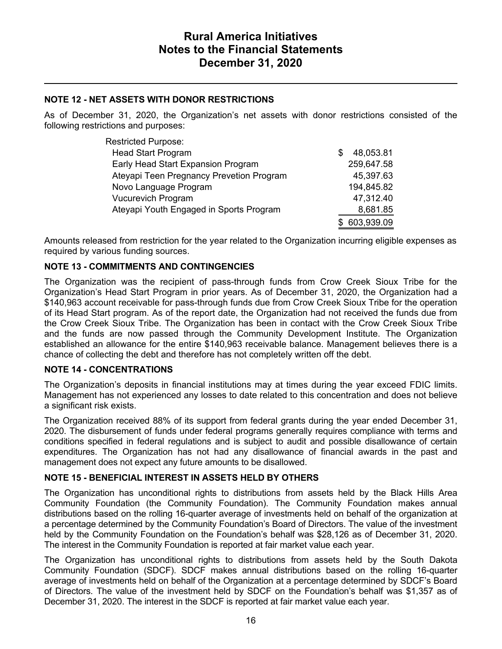## **NOTE 12 - NET ASSETS WITH DONOR RESTRICTIONS**

As of December 31, 2020, the Organization's net assets with donor restrictions consisted of the following restrictions and purposes:

| <b>Restricted Purpose:</b>               |   |            |
|------------------------------------------|---|------------|
| <b>Head Start Program</b>                | S | 48,053.81  |
| Early Head Start Expansion Program       |   | 259,647.58 |
| Ateyapi Teen Pregnancy Prevetion Program |   | 45,397.63  |
| Novo Language Program                    |   | 194,845.82 |
| <b>Vucurevich Program</b>                |   | 47,312.40  |
| Ateyapi Youth Engaged in Sports Program  |   | 8,681.85   |
|                                          |   | 603,939.09 |

Amounts released from restriction for the year related to the Organization incurring eligible expenses as required by various funding sources.

### **NOTE 13 - COMMITMENTS AND CONTINGENCIES**

The Organization was the recipient of pass-through funds from Crow Creek Sioux Tribe for the Organization's Head Start Program in prior years. As of December 31, 2020, the Organization had a \$140,963 account receivable for pass-through funds due from Crow Creek Sioux Tribe for the operation of its Head Start program. As of the report date, the Organization had not received the funds due from the Crow Creek Sioux Tribe. The Organization has been in contact with the Crow Creek Sioux Tribe and the funds are now passed through the Community Development Institute. The Organization established an allowance for the entire \$140,963 receivable balance. Management believes there is a chance of collecting the debt and therefore has not completely written off the debt.

## **NOTE 14 - CONCENTRATIONS**

The Organization's deposits in financial institutions may at times during the year exceed FDIC limits. Management has not experienced any losses to date related to this concentration and does not believe a significant risk exists.

The Organization received 88% of its support from federal grants during the year ended December 31, 2020. The disbursement of funds under federal programs generally requires compliance with terms and conditions specified in federal regulations and is subject to audit and possible disallowance of certain expenditures. The Organization has not had any disallowance of financial awards in the past and management does not expect any future amounts to be disallowed.

### **NOTE 15 - BENEFICIAL INTEREST IN ASSETS HELD BY OTHERS**

The Organization has unconditional rights to distributions from assets held by the Black Hills Area Community Foundation (the Community Foundation). The Community Foundation makes annual distributions based on the rolling 16-quarter average of investments held on behalf of the organization at a percentage determined by the Community Foundation's Board of Directors. The value of the investment held by the Community Foundation on the Foundation's behalf was \$28,126 as of December 31, 2020. The interest in the Community Foundation is reported at fair market value each year.

The Organization has unconditional rights to distributions from assets held by the South Dakota Community Foundation (SDCF). SDCF makes annual distributions based on the rolling 16-quarter average of investments held on behalf of the Organization at a percentage determined by SDCF's Board of Directors. The value of the investment held by SDCF on the Foundation's behalf was \$1,357 as of December 31, 2020. The interest in the SDCF is reported at fair market value each year.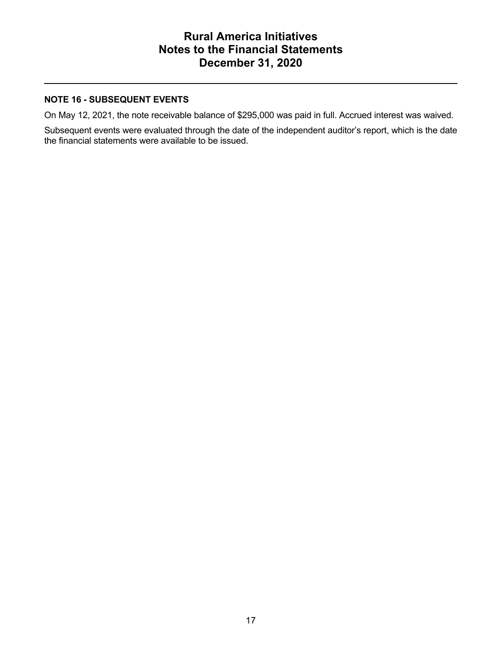# **Rural America Initiatives Notes to the Financial Statements December 31, 2020**

## **NOTE 16 - SUBSEQUENT EVENTS**

On May 12, 2021, the note receivable balance of \$295,000 was paid in full. Accrued interest was waived.

Subsequent events were evaluated through the date of the independent auditor's report, which is the date the financial statements were available to be issued.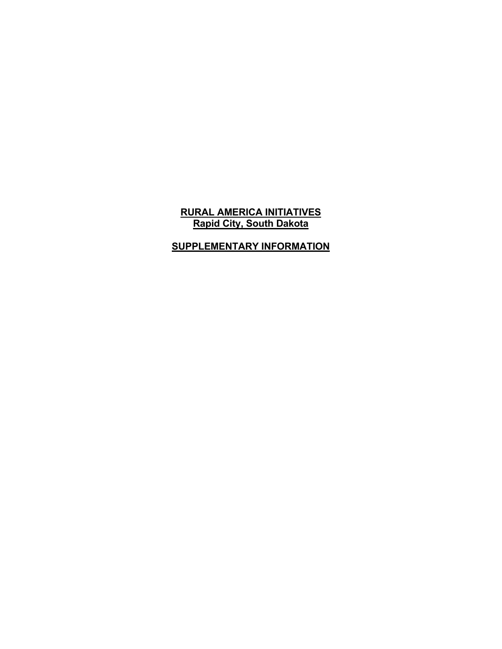# **SUPPLEMENTARY INFORMATION**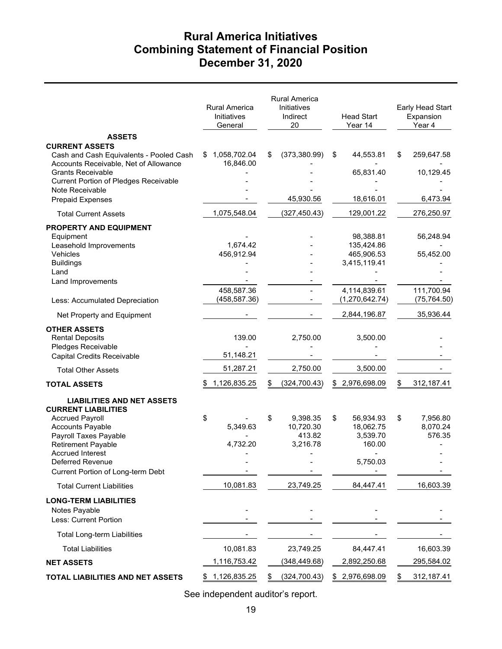# **Rural America Initiatives Combining Statement of Financial Position December 31, 2020**

|                                                                                                           | <b>Rural America</b><br>Initiatives<br>General | <b>Rural America</b><br>Initiatives<br>Indirect<br>20 | <b>Head Start</b><br>Year 14 | Early Head Start<br>Expansion<br>Year 4 |
|-----------------------------------------------------------------------------------------------------------|------------------------------------------------|-------------------------------------------------------|------------------------------|-----------------------------------------|
| <b>ASSETS</b>                                                                                             |                                                |                                                       |                              |                                         |
| <b>CURRENT ASSETS</b><br>Cash and Cash Equivalents - Pooled Cash<br>Accounts Receivable, Net of Allowance | 1,058,702.04<br>\$<br>16,846.00                | \$<br>(373, 380.99)                                   | \$<br>44,553.81              | \$<br>259,647.58                        |
| <b>Grants Receivable</b><br><b>Current Portion of Pledges Receivable</b>                                  |                                                |                                                       | 65,831.40                    | 10,129.45                               |
| Note Receivable                                                                                           |                                                | 45,930.56                                             | 18,616.01                    | 6,473.94                                |
| <b>Prepaid Expenses</b>                                                                                   |                                                |                                                       |                              |                                         |
| <b>Total Current Assets</b>                                                                               | 1,075,548.04                                   | (327, 450.43)                                         | 129,001.22                   | 276,250.97                              |
| PROPERTY AND EQUIPMENT<br>Equipment                                                                       | 1,674.42                                       |                                                       | 98,388.81                    | 56,248.94                               |
| Leasehold Improvements<br>Vehicles                                                                        | 456,912.94                                     |                                                       | 135,424.86<br>465,906.53     | 55,452.00                               |
| <b>Buildings</b>                                                                                          |                                                |                                                       | 3,415,119.41                 |                                         |
| Land                                                                                                      |                                                |                                                       |                              |                                         |
| Land Improvements                                                                                         | 458,587.36                                     |                                                       | 4,114,839.61                 | 111,700.94                              |
| Less: Accumulated Depreciation                                                                            | (458, 587.36)                                  |                                                       | (1, 270, 642.74)             | (75, 764.50)                            |
| Net Property and Equipment                                                                                |                                                |                                                       | 2,844,196.87                 | 35,936.44                               |
| <b>OTHER ASSETS</b>                                                                                       |                                                |                                                       |                              |                                         |
| <b>Rental Deposits</b>                                                                                    | 139.00                                         | 2,750.00                                              | 3,500.00                     |                                         |
| Pledges Receivable<br>Capital Credits Receivable                                                          | 51,148.21                                      |                                                       |                              |                                         |
|                                                                                                           | 51,287.21                                      | 2,750.00                                              | 3,500.00                     |                                         |
| <b>Total Other Assets</b>                                                                                 |                                                |                                                       |                              |                                         |
| <b>TOTAL ASSETS</b>                                                                                       | 1,126,835.25<br>\$                             | \$<br>(324, 700.43)                                   | \$2,976,698.09               | \$<br>312,187.41                        |
| <b>LIABILITIES AND NET ASSETS</b><br><b>CURRENT LIABILITIES</b>                                           |                                                |                                                       |                              |                                         |
| <b>Accrued Payroll</b>                                                                                    | \$                                             | \$<br>9,398.35                                        | \$<br>56,934.93              | \$<br>7,956.80                          |
| <b>Accounts Payable</b><br>Payroll Taxes Payable                                                          | 5,349.63                                       | 10,720.30<br>413.82                                   | 18,062.75<br>3,539.70        | 8,070.24<br>576.35                      |
| <b>Retirement Payable</b>                                                                                 | 4,732.20                                       | 3,216.78                                              | 160.00                       |                                         |
| <b>Accrued Interest</b>                                                                                   |                                                |                                                       |                              |                                         |
| Deferred Revenue                                                                                          |                                                |                                                       | 5,750.03                     |                                         |
| Current Portion of Long-term Debt                                                                         | 10,081.83                                      |                                                       | 84,447.41                    | 16,603.39                               |
| <b>Total Current Liabilities</b>                                                                          |                                                | 23,749.25                                             |                              |                                         |
| <b>LONG-TERM LIABILITIES</b>                                                                              |                                                |                                                       |                              |                                         |
| Notes Payable<br>Less: Current Portion                                                                    |                                                |                                                       |                              |                                         |
| <b>Total Long-term Liabilities</b>                                                                        |                                                |                                                       |                              |                                         |
| <b>Total Liabilities</b>                                                                                  | 10,081.83                                      | 23,749.25                                             | 84,447.41                    | 16,603.39                               |
| <b>NET ASSETS</b>                                                                                         | 1,116,753.42                                   | (348, 449.68)                                         | 2,892,250.68                 | 295,584.02                              |
| TOTAL LIABILITIES AND NET ASSETS                                                                          | 1,126,835.25<br>\$                             | (324, 700.43)                                         | \$2,976,698.09               | \$<br>312,187.41                        |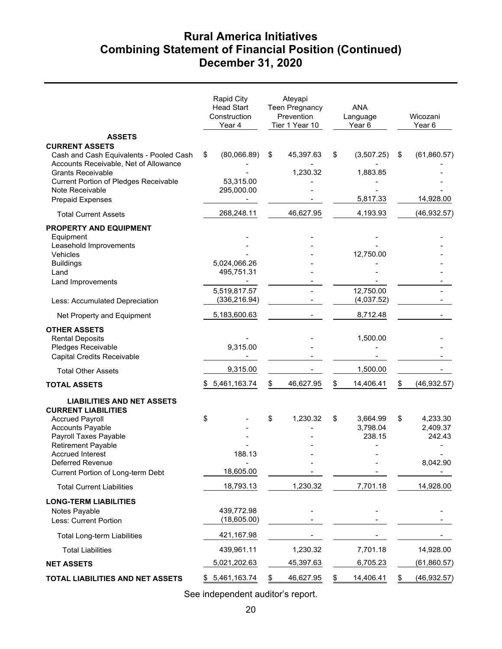# **Rural America Initiatives Combining Statement of Financial Position (Continued) December 31, 2020**

|                                                                   | <b>Rapid City</b><br><b>Head Start</b><br>Construction<br>Year 4 | Ateyapi<br><b>Teen Pregnancy</b><br>Prevention<br>Tier 1 Year 10 | <b>ANA</b><br>Language<br>Year 6 | Wicozani<br>Year 6         |
|-------------------------------------------------------------------|------------------------------------------------------------------|------------------------------------------------------------------|----------------------------------|----------------------------|
| <b>ASSETS</b>                                                     |                                                                  |                                                                  |                                  |                            |
| <b>CURRENT ASSETS</b><br>Cash and Cash Equivalents - Pooled Cash  | (80,066.89)<br>\$                                                | \$<br>45,397.63                                                  | \$<br>(3,507.25)                 | \$<br>(61,860.57)          |
| Accounts Receivable, Net of Allowance<br><b>Grants Receivable</b> |                                                                  | 1,230.32                                                         | 1,883.85                         |                            |
| <b>Current Portion of Pledges Receivable</b>                      | 53,315.00                                                        |                                                                  |                                  |                            |
| Note Receivable                                                   | 295,000.00                                                       |                                                                  |                                  |                            |
| <b>Prepaid Expenses</b>                                           | $\blacksquare$                                                   |                                                                  | 5,817.33                         | 14,928.00                  |
| <b>Total Current Assets</b>                                       | 268,248.11                                                       | 46,627.95                                                        | 4,193.93                         | (46, 932.57)               |
| PROPERTY AND EQUIPMENT                                            |                                                                  |                                                                  |                                  |                            |
| Equipment                                                         |                                                                  |                                                                  |                                  |                            |
| Leasehold Improvements<br>Vehicles                                |                                                                  |                                                                  | 12,750.00                        |                            |
| <b>Buildings</b>                                                  | 5,024,066.26                                                     |                                                                  |                                  |                            |
| Land                                                              | 495,751.31                                                       |                                                                  |                                  |                            |
| Land Improvements                                                 |                                                                  |                                                                  |                                  |                            |
|                                                                   | 5,519,817.57                                                     |                                                                  | 12,750.00                        |                            |
| Less: Accumulated Depreciation                                    | (336, 216.94)                                                    |                                                                  | (4,037.52)                       |                            |
| Net Property and Equipment                                        | 5,183,600.63                                                     |                                                                  | 8,712.48                         |                            |
| <b>OTHER ASSETS</b>                                               |                                                                  |                                                                  |                                  |                            |
| <b>Rental Deposits</b>                                            |                                                                  |                                                                  | 1,500.00                         |                            |
| Pledges Receivable                                                | 9,315.00                                                         |                                                                  |                                  |                            |
| <b>Capital Credits Receivable</b>                                 | $\qquad \qquad \blacksquare$                                     |                                                                  |                                  |                            |
| <b>Total Other Assets</b>                                         | 9,315.00                                                         |                                                                  | 1,500.00                         |                            |
| <b>TOTAL ASSETS</b>                                               | 5,461,163.74<br>\$                                               | \$<br>46,627.95                                                  | \$<br>14,406.41                  | \$<br>(46, 932.57)         |
| <b>LIABILITIES AND NET ASSETS</b><br><b>CURRENT LIABILITIES</b>   |                                                                  |                                                                  |                                  |                            |
| <b>Accrued Payroll</b><br><b>Accounts Payable</b>                 | \$                                                               | \$<br>1,230.32                                                   | \$<br>3,664.99<br>3,798.04       | \$<br>4,233.30<br>2,409.37 |
| Payroll Taxes Payable                                             |                                                                  |                                                                  | 238.15                           | 242.43                     |
| <b>Retirement Payable</b>                                         |                                                                  |                                                                  |                                  |                            |
| Accrued Interest                                                  | 188.13                                                           |                                                                  |                                  |                            |
| <b>Deferred Revenue</b><br>Current Portion of Long-term Debt      | 18,605.00                                                        |                                                                  |                                  | 8,042.90                   |
| <b>Total Current Liabilities</b>                                  | 18,793.13                                                        | 1,230.32                                                         | 7,701.18                         | 14,928.00                  |
|                                                                   |                                                                  |                                                                  |                                  |                            |
| <b>LONG-TERM LIABILITIES</b>                                      |                                                                  |                                                                  |                                  |                            |
| Notes Payable<br>Less: Current Portion                            | 439,772.98<br>(18,605.00)                                        |                                                                  |                                  |                            |
|                                                                   |                                                                  |                                                                  |                                  |                            |
| <b>Total Long-term Liabilities</b>                                | 421,167.98                                                       |                                                                  |                                  |                            |
| <b>Total Liabilities</b>                                          | 439,961.11                                                       | 1,230.32                                                         | 7,701.18                         | 14,928.00                  |
| <b>NET ASSETS</b>                                                 | 5,021,202.63                                                     | 45,397.63                                                        | 6,705.23                         | (61, 860.57)               |
| TOTAL LIABILITIES AND NET ASSETS                                  | 5,461,163.74<br>\$                                               | \$<br>46,627.95                                                  | \$<br>14,406.41                  | \$<br>(46, 932.57)         |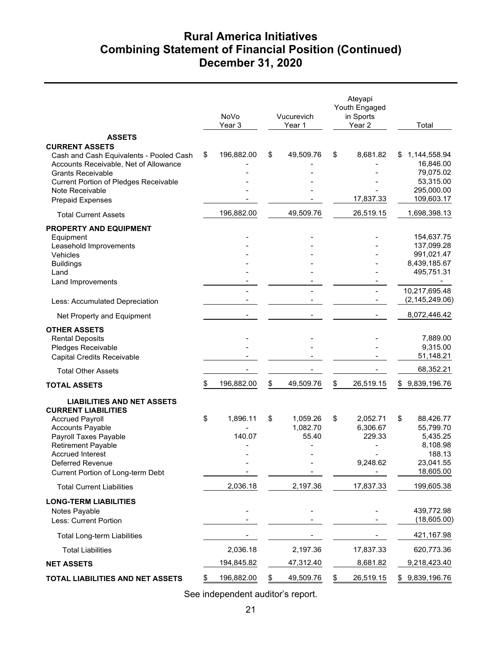# **Rural America Initiatives Combining Statement of Financial Position (Continued) December 31, 2020**

|                                                                                                                                       | <b>NoVo</b><br>Year 3 | Vucurevich<br>Year 1       | Ateyapi<br>Youth Engaged<br>in Sports<br>Year 2 | Total                                        |
|---------------------------------------------------------------------------------------------------------------------------------------|-----------------------|----------------------------|-------------------------------------------------|----------------------------------------------|
| <b>ASSETS</b>                                                                                                                         |                       |                            |                                                 |                                              |
| <b>CURRENT ASSETS</b><br>Cash and Cash Equivalents - Pooled Cash<br>Accounts Receivable, Net of Allowance<br><b>Grants Receivable</b> | \$<br>196,882.00      | \$<br>49,509.76            | \$<br>8,681.82                                  | \$<br>1,144,558.94<br>16,846.00<br>79,075.02 |
| <b>Current Portion of Pledges Receivable</b><br>Note Receivable<br><b>Prepaid Expenses</b>                                            |                       |                            | 17,837.33                                       | 53,315.00<br>295,000.00<br>109,603.17        |
| <b>Total Current Assets</b>                                                                                                           | 196,882.00            | 49,509.76                  | 26,519.15                                       | 1,698,398.13                                 |
| PROPERTY AND EQUIPMENT                                                                                                                |                       |                            |                                                 |                                              |
| Equipment<br>Leasehold Improvements                                                                                                   |                       |                            |                                                 | 154,637.75<br>137,099.28                     |
| Vehicles                                                                                                                              |                       |                            |                                                 | 991,021.47                                   |
| <b>Buildings</b><br>Land                                                                                                              |                       |                            |                                                 | 8,439,185.67<br>495,751.31                   |
| Land Improvements                                                                                                                     |                       |                            |                                                 |                                              |
| Less: Accumulated Depreciation                                                                                                        |                       |                            |                                                 | 10,217,695.48<br>(2, 145, 249.06)            |
| Net Property and Equipment                                                                                                            |                       |                            |                                                 | 8,072,446.42                                 |
|                                                                                                                                       |                       |                            |                                                 |                                              |
| <b>OTHER ASSETS</b><br><b>Rental Deposits</b><br>Pledges Receivable                                                                   |                       |                            |                                                 | 7,889.00<br>9,315.00                         |
| <b>Capital Credits Receivable</b>                                                                                                     |                       |                            |                                                 | 51,148.21                                    |
| <b>Total Other Assets</b>                                                                                                             |                       |                            |                                                 | 68,352.21                                    |
| <b>TOTAL ASSETS</b>                                                                                                                   | \$<br>196,882.00      | \$<br>49,509.76            | \$<br>26,519.15                                 | \$9,839,196.76                               |
| <b>LIABILITIES AND NET ASSETS</b><br><b>CURRENT LIABILITIES</b>                                                                       |                       |                            |                                                 |                                              |
| <b>Accrued Payroll</b><br><b>Accounts Payable</b>                                                                                     | \$<br>1,896.11        | \$<br>1,059.26<br>1,082.70 | \$<br>2,052.71<br>6,306.67                      | \$<br>88,426.77<br>55,799.70                 |
| Payroll Taxes Payable<br><b>Retirement Payable</b>                                                                                    | 140.07                | 55.40                      | 229.33                                          | 5,435.25<br>8,108.98                         |
| Accrued Interest                                                                                                                      |                       |                            |                                                 | 188.13                                       |
| Deferred Revenue                                                                                                                      |                       |                            | 9,248.62                                        | 23,041.55<br>18,605.00                       |
| Current Portion of Long-term Debt<br><b>Total Current Liabilities</b>                                                                 | 2,036.18              | 2,197.36                   | 17,837.33                                       | 199,605.38                                   |
|                                                                                                                                       |                       |                            |                                                 |                                              |
| <b>LONG-TERM LIABILITIES</b><br>Notes Payable<br>Less: Current Portion                                                                |                       |                            |                                                 | 439,772.98<br>(18,605.00)                    |
| <b>Total Long-term Liabilities</b>                                                                                                    |                       |                            |                                                 | 421,167.98                                   |
| <b>Total Liabilities</b>                                                                                                              | 2,036.18              | 2,197.36                   | 17,837.33                                       | 620,773.36                                   |
| <b>NET ASSETS</b>                                                                                                                     | 194,845.82            | 47,312.40                  | 8,681.82                                        | 9,218,423.40                                 |
| TOTAL LIABILITIES AND NET ASSETS                                                                                                      | \$<br>196,882.00      | \$<br>49,509.76            | \$<br>26,519.15                                 | \$<br>9,839,196.76                           |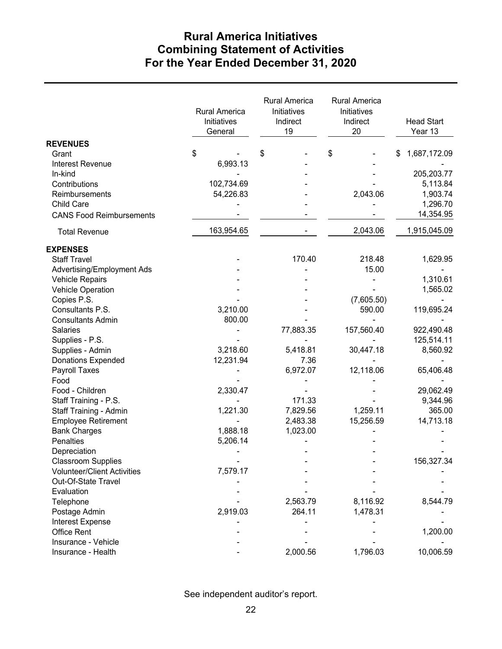|                                    |    | <b>Rural America</b><br><b>Rural America</b><br>Initiatives<br>Initiatives<br>Indirect<br>19<br>General |    | <b>Rural America</b><br>Initiatives<br>Indirect<br>20 |    |            | <b>Head Start</b><br>Year 13 |              |
|------------------------------------|----|---------------------------------------------------------------------------------------------------------|----|-------------------------------------------------------|----|------------|------------------------------|--------------|
| <b>REVENUES</b>                    |    |                                                                                                         |    |                                                       |    |            |                              |              |
| Grant                              | \$ |                                                                                                         | \$ |                                                       | \$ |            | \$                           | 1,687,172.09 |
| Interest Revenue                   |    | 6,993.13                                                                                                |    |                                                       |    |            |                              |              |
| In-kind                            |    |                                                                                                         |    |                                                       |    |            |                              | 205,203.77   |
| Contributions                      |    | 102,734.69                                                                                              |    |                                                       |    |            |                              | 5,113.84     |
| Reimbursements                     |    | 54,226.83                                                                                               |    |                                                       |    | 2,043.06   |                              | 1,903.74     |
| Child Care                         |    |                                                                                                         |    |                                                       |    |            |                              | 1,296.70     |
| <b>CANS Food Reimbursements</b>    |    |                                                                                                         |    |                                                       |    |            |                              | 14,354.95    |
| <b>Total Revenue</b>               |    | 163,954.65                                                                                              |    |                                                       |    | 2,043.06   |                              | 1,915,045.09 |
| <b>EXPENSES</b>                    |    |                                                                                                         |    |                                                       |    |            |                              |              |
| <b>Staff Travel</b>                |    |                                                                                                         |    | 170.40                                                |    | 218.48     |                              | 1,629.95     |
| Advertising/Employment Ads         |    |                                                                                                         |    |                                                       |    | 15.00      |                              |              |
| <b>Vehicle Repairs</b>             |    |                                                                                                         |    |                                                       |    |            |                              | 1,310.61     |
| <b>Vehicle Operation</b>           |    |                                                                                                         |    |                                                       |    |            |                              | 1,565.02     |
| Copies P.S.                        |    |                                                                                                         |    |                                                       |    | (7,605.50) |                              |              |
| Consultants P.S.                   |    | 3,210.00                                                                                                |    |                                                       |    | 590.00     |                              | 119,695.24   |
| <b>Consultants Admin</b>           |    | 800.00                                                                                                  |    |                                                       |    |            |                              |              |
| <b>Salaries</b>                    |    |                                                                                                         |    | 77,883.35                                             |    | 157,560.40 |                              | 922,490.48   |
| Supplies - P.S.                    |    |                                                                                                         |    |                                                       |    |            |                              | 125,514.11   |
| Supplies - Admin                   |    | 3,218.60                                                                                                |    | 5,418.81                                              |    | 30,447.18  |                              | 8,560.92     |
| <b>Donations Expended</b>          |    | 12,231.94                                                                                               |    | 7.36                                                  |    |            |                              |              |
| Payroll Taxes                      |    |                                                                                                         |    | 6,972.07                                              |    | 12,118.06  |                              | 65,406.48    |
| Food                               |    |                                                                                                         |    |                                                       |    |            |                              |              |
| Food - Children                    |    | 2,330.47                                                                                                |    |                                                       |    |            |                              | 29,062.49    |
| Staff Training - P.S.              |    |                                                                                                         |    | 171.33                                                |    |            |                              | 9,344.96     |
| Staff Training - Admin             |    | 1,221.30                                                                                                |    | 7,829.56                                              |    | 1,259.11   |                              | 365.00       |
| <b>Employee Retirement</b>         |    |                                                                                                         |    | 2,483.38                                              |    | 15,256.59  |                              | 14,713.18    |
| <b>Bank Charges</b>                |    | 1,888.18                                                                                                |    | 1,023.00                                              |    |            |                              |              |
| <b>Penalties</b>                   |    | 5,206.14                                                                                                |    |                                                       |    |            |                              |              |
| Depreciation                       |    |                                                                                                         |    |                                                       |    |            |                              |              |
| <b>Classroom Supplies</b>          |    |                                                                                                         |    |                                                       |    |            |                              | 156,327.34   |
| <b>Volunteer/Client Activities</b> |    | 7,579.17                                                                                                |    |                                                       |    |            |                              |              |
| Out-Of-State Travel                |    |                                                                                                         |    |                                                       |    |            |                              |              |
| Evaluation                         |    |                                                                                                         |    |                                                       |    |            |                              |              |
| Telephone                          |    |                                                                                                         |    | 2,563.79                                              |    | 8,116.92   |                              | 8,544.79     |
| Postage Admin                      |    | 2,919.03                                                                                                |    | 264.11                                                |    | 1,478.31   |                              |              |
| Interest Expense                   |    |                                                                                                         |    |                                                       |    |            |                              |              |
| <b>Office Rent</b>                 |    |                                                                                                         |    |                                                       |    |            |                              | 1,200.00     |
| Insurance - Vehicle                |    |                                                                                                         |    |                                                       |    |            |                              |              |
| Insurance - Health                 |    |                                                                                                         |    | 2,000.56                                              |    | 1,796.03   |                              | 10,006.59    |
|                                    |    |                                                                                                         |    |                                                       |    |            |                              |              |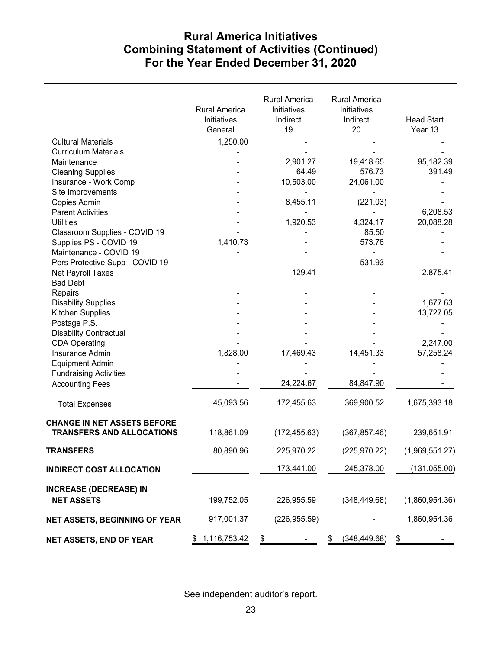|                                      | <b>Rural America</b><br><b>Initiatives</b><br>General | <b>Rural America</b><br>Initiatives<br>Indirect<br>19 | <b>Rural America</b><br>Initiatives<br>Indirect<br>20 | <b>Head Start</b><br>Year 13 |
|--------------------------------------|-------------------------------------------------------|-------------------------------------------------------|-------------------------------------------------------|------------------------------|
| <b>Cultural Materials</b>            | 1,250.00                                              |                                                       |                                                       |                              |
| <b>Curriculum Materials</b>          |                                                       |                                                       |                                                       |                              |
| Maintenance                          |                                                       | 2,901.27                                              | 19,418.65                                             | 95,182.39                    |
| <b>Cleaning Supplies</b>             |                                                       | 64.49                                                 | 576.73                                                | 391.49                       |
| Insurance - Work Comp                |                                                       | 10,503.00                                             | 24,061.00                                             |                              |
| Site Improvements                    |                                                       |                                                       |                                                       |                              |
| Copies Admin                         |                                                       | 8,455.11                                              | (221.03)                                              |                              |
| <b>Parent Activities</b>             |                                                       |                                                       |                                                       | 6,208.53                     |
| <b>Utilities</b>                     |                                                       | 1,920.53                                              | 4,324.17                                              | 20,088.28                    |
| Classroom Supplies - COVID 19        |                                                       |                                                       | 85.50                                                 |                              |
| Supplies PS - COVID 19               | 1,410.73                                              |                                                       | 573.76                                                |                              |
| Maintenance - COVID 19               |                                                       |                                                       |                                                       |                              |
| Pers Protective Supp - COVID 19      |                                                       |                                                       | 531.93                                                |                              |
| Net Payroll Taxes                    |                                                       | 129.41                                                |                                                       | 2,875.41                     |
| <b>Bad Debt</b>                      |                                                       |                                                       |                                                       |                              |
| Repairs                              |                                                       |                                                       |                                                       |                              |
| <b>Disability Supplies</b>           |                                                       |                                                       |                                                       | 1,677.63                     |
| Kitchen Supplies                     |                                                       |                                                       |                                                       | 13,727.05                    |
| Postage P.S.                         |                                                       |                                                       |                                                       |                              |
| <b>Disability Contractual</b>        |                                                       |                                                       |                                                       |                              |
| <b>CDA Operating</b>                 |                                                       |                                                       |                                                       | 2,247.00                     |
| Insurance Admin                      | 1,828.00                                              | 17,469.43                                             | 14,451.33                                             | 57,258.24                    |
| <b>Equipment Admin</b>               |                                                       |                                                       |                                                       |                              |
| <b>Fundraising Activities</b>        |                                                       |                                                       |                                                       |                              |
| <b>Accounting Fees</b>               |                                                       | 24,224.67                                             | 84,847.90                                             |                              |
| <b>Total Expenses</b>                | 45,093.56                                             | 172,455.63                                            | 369,900.52                                            | 1,675,393.18                 |
| <b>CHANGE IN NET ASSETS BEFORE</b>   |                                                       |                                                       |                                                       |                              |
| <b>TRANSFERS AND ALLOCATIONS</b>     | 118,861.09                                            | (172, 455.63)                                         | (367, 857.46)                                         | 239,651.91                   |
| TRANSFERS                            | 80,890.96                                             | 225,970.22                                            | (225, 970.22)                                         | (1,969,551.27)               |
| <b>INDIRECT COST ALLOCATION</b>      |                                                       | 173,441.00                                            | 245,378.00                                            | (131, 055.00)                |
| <b>INCREASE (DECREASE) IN</b>        |                                                       |                                                       |                                                       |                              |
| <b>NET ASSETS</b>                    | 199,752.05                                            | 226,955.59                                            | (348, 449.68)                                         | (1,860,954.36)               |
| <b>NET ASSETS, BEGINNING OF YEAR</b> | 917,001.37                                            | (226,955.59)                                          |                                                       | 1,860,954.36                 |
| <b>NET ASSETS, END OF YEAR</b>       | 1,116,753.42<br>SS.                                   | \$                                                    | (348, 449.68)<br>P.                                   | \$                           |
|                                      |                                                       |                                                       |                                                       |                              |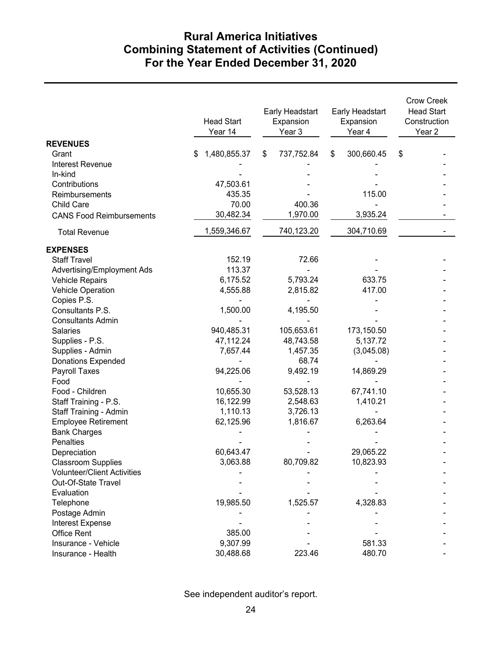|                                    |    | <b>Head Start</b><br>Year 14 | Early Headstart<br>Expansion<br>Year 3 |            | Early Headstart<br>Expansion<br>Year 4 | <b>Crow Creek</b><br><b>Head Start</b><br>Construction<br>Year <sub>2</sub> |  |
|------------------------------------|----|------------------------------|----------------------------------------|------------|----------------------------------------|-----------------------------------------------------------------------------|--|
| <b>REVENUES</b>                    |    |                              |                                        |            |                                        |                                                                             |  |
| Grant                              | \$ | 1,480,855.37                 | \$                                     | 737,752.84 | \$<br>300,660.45                       | \$                                                                          |  |
| <b>Interest Revenue</b>            |    |                              |                                        |            |                                        |                                                                             |  |
| In-kind                            |    |                              |                                        |            |                                        |                                                                             |  |
| Contributions                      |    | 47,503.61                    |                                        |            |                                        |                                                                             |  |
| Reimbursements                     |    | 435.35                       |                                        |            | 115.00                                 |                                                                             |  |
| <b>Child Care</b>                  |    | 70.00                        |                                        | 400.36     |                                        |                                                                             |  |
| <b>CANS Food Reimbursements</b>    |    | 30,482.34                    |                                        | 1,970.00   | 3,935.24                               |                                                                             |  |
| <b>Total Revenue</b>               |    | 1,559,346.67                 |                                        | 740,123.20 | 304,710.69                             |                                                                             |  |
| <b>EXPENSES</b>                    |    |                              |                                        |            |                                        |                                                                             |  |
| <b>Staff Travel</b>                |    | 152.19                       |                                        | 72.66      |                                        |                                                                             |  |
| Advertising/Employment Ads         |    | 113.37                       |                                        |            |                                        |                                                                             |  |
| <b>Vehicle Repairs</b>             |    | 6,175.52                     |                                        | 5,793.24   | 633.75                                 |                                                                             |  |
| Vehicle Operation                  |    | 4,555.88                     |                                        | 2,815.82   | 417.00                                 |                                                                             |  |
| Copies P.S.                        |    |                              |                                        |            |                                        |                                                                             |  |
| Consultants P.S.                   |    | 1,500.00                     |                                        | 4,195.50   |                                        |                                                                             |  |
| <b>Consultants Admin</b>           |    |                              |                                        |            |                                        |                                                                             |  |
| <b>Salaries</b>                    |    | 940,485.31                   |                                        | 105,653.61 | 173,150.50                             |                                                                             |  |
| Supplies - P.S.                    |    | 47,112.24                    |                                        | 48,743.58  | 5,137.72                               |                                                                             |  |
| Supplies - Admin                   |    | 7,657.44                     |                                        | 1,457.35   | (3,045.08)                             |                                                                             |  |
|                                    |    |                              |                                        | 68.74      |                                        |                                                                             |  |
| <b>Donations Expended</b>          |    | 94,225.06                    |                                        | 9,492.19   |                                        |                                                                             |  |
| Payroll Taxes                      |    |                              |                                        |            | 14,869.29                              |                                                                             |  |
| Food                               |    |                              |                                        |            |                                        |                                                                             |  |
| Food - Children                    |    | 10,655.30                    |                                        | 53,528.13  | 67,741.10                              |                                                                             |  |
| Staff Training - P.S.              |    | 16,122.99                    |                                        | 2,548.63   | 1,410.21                               |                                                                             |  |
| Staff Training - Admin             |    | 1,110.13                     |                                        | 3,726.13   |                                        |                                                                             |  |
| <b>Employee Retirement</b>         |    | 62,125.96                    |                                        | 1,816.67   | 6,263.64                               |                                                                             |  |
| <b>Bank Charges</b>                |    |                              |                                        |            |                                        |                                                                             |  |
| <b>Penalties</b>                   |    |                              |                                        |            |                                        |                                                                             |  |
| Depreciation                       |    | 60,643.47                    |                                        |            | 29,065.22                              |                                                                             |  |
| <b>Classroom Supplies</b>          |    | 3,063.88                     |                                        | 80,709.82  | 10,823.93                              |                                                                             |  |
| <b>Volunteer/Client Activities</b> |    |                              |                                        |            |                                        |                                                                             |  |
| Out-Of-State Travel                |    |                              |                                        |            |                                        |                                                                             |  |
| Evaluation                         |    |                              |                                        |            |                                        |                                                                             |  |
| Telephone                          |    | 19,985.50                    |                                        | 1,525.57   | 4,328.83                               |                                                                             |  |
| Postage Admin                      |    |                              |                                        |            |                                        |                                                                             |  |
| Interest Expense                   |    |                              |                                        |            |                                        |                                                                             |  |
| Office Rent                        |    | 385.00                       |                                        |            |                                        |                                                                             |  |
| Insurance - Vehicle                |    | 9,307.99                     |                                        |            | 581.33                                 |                                                                             |  |
| Insurance - Health                 |    | 30,488.68                    |                                        | 223.46     | 480.70                                 |                                                                             |  |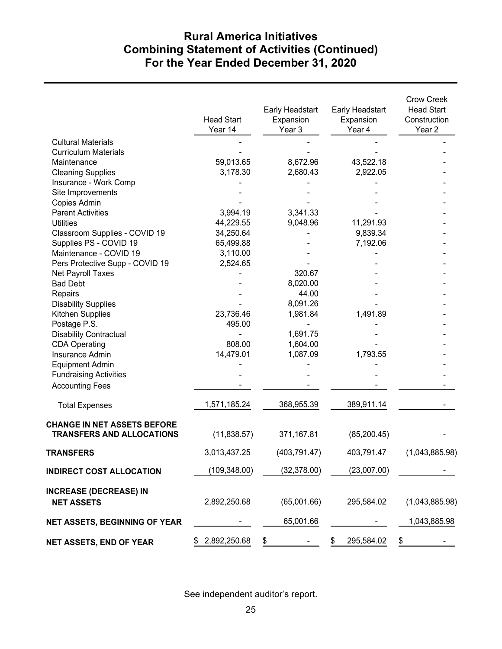|                                                                        | <b>Head Start</b><br>Year 14 | Early Headstart<br>Expansion<br>Year 3 | Early Headstart<br>Expansion<br>Year 4 | <b>Crow Creek</b><br><b>Head Start</b><br>Construction<br>Year 2 |
|------------------------------------------------------------------------|------------------------------|----------------------------------------|----------------------------------------|------------------------------------------------------------------|
| <b>Cultural Materials</b>                                              |                              |                                        |                                        |                                                                  |
| <b>Curriculum Materials</b>                                            |                              |                                        |                                        |                                                                  |
| Maintenance                                                            | 59,013.65                    | 8,672.96                               | 43,522.18                              |                                                                  |
| <b>Cleaning Supplies</b>                                               | 3,178.30                     | 2,680.43                               | 2,922.05                               |                                                                  |
| Insurance - Work Comp                                                  |                              |                                        |                                        |                                                                  |
| Site Improvements                                                      |                              |                                        |                                        |                                                                  |
| Copies Admin                                                           |                              |                                        |                                        |                                                                  |
| <b>Parent Activities</b>                                               | 3,994.19                     | 3,341.33                               |                                        |                                                                  |
| <b>Utilities</b>                                                       | 44,229.55                    | 9,048.96                               | 11,291.93                              |                                                                  |
| Classroom Supplies - COVID 19                                          | 34,250.64                    |                                        | 9,839.34                               |                                                                  |
| Supplies PS - COVID 19                                                 | 65,499.88                    |                                        | 7,192.06                               |                                                                  |
| Maintenance - COVID 19                                                 | 3,110.00                     |                                        |                                        |                                                                  |
| Pers Protective Supp - COVID 19                                        | 2,524.65                     |                                        |                                        |                                                                  |
| Net Payroll Taxes                                                      |                              | 320.67                                 |                                        |                                                                  |
| <b>Bad Debt</b>                                                        |                              | 8,020.00                               |                                        |                                                                  |
| Repairs                                                                |                              | 44.00                                  |                                        |                                                                  |
| <b>Disability Supplies</b>                                             |                              | 8,091.26                               |                                        |                                                                  |
| Kitchen Supplies                                                       | 23,736.46                    | 1,981.84                               | 1,491.89                               |                                                                  |
| Postage P.S.                                                           | 495.00                       |                                        |                                        |                                                                  |
| <b>Disability Contractual</b>                                          |                              | 1,691.75                               |                                        |                                                                  |
| <b>CDA Operating</b>                                                   | 808.00                       | 1,604.00                               |                                        |                                                                  |
| Insurance Admin                                                        | 14,479.01                    | 1,087.09                               | 1,793.55                               |                                                                  |
| <b>Equipment Admin</b>                                                 |                              |                                        |                                        |                                                                  |
| <b>Fundraising Activities</b>                                          |                              |                                        |                                        |                                                                  |
| <b>Accounting Fees</b>                                                 |                              |                                        |                                        |                                                                  |
| <b>Total Expenses</b>                                                  | 1,571,185.24                 | 368,955.39                             | 389,911.14                             |                                                                  |
| <b>CHANGE IN NET ASSETS BEFORE</b><br><b>TRANSFERS AND ALLOCATIONS</b> | (11, 838.57)                 | 371,167.81                             | (85, 200.45)                           |                                                                  |
| <b>TRANSFERS</b>                                                       | 3,013,437.25                 | (403, 791.47)                          | 403,791.47                             | (1,043,885.98)                                                   |
| <b>INDIRECT COST ALLOCATION</b>                                        | (109, 348.00)                | (32, 378.00)                           | (23,007.00)                            |                                                                  |
| <b>INCREASE (DECREASE) IN</b><br><b>NET ASSETS</b>                     | 2,892,250.68                 | (65,001.66)                            | 295,584.02                             | (1,043,885.98)                                                   |
| <b>NET ASSETS, BEGINNING OF YEAR</b>                                   |                              | 65,001.66                              |                                        | 1,043,885.98                                                     |
| <b>NET ASSETS, END OF YEAR</b>                                         | \$2,892,250.68               | \$                                     | 295,584.02<br>\$                       | $\frac{1}{2}$                                                    |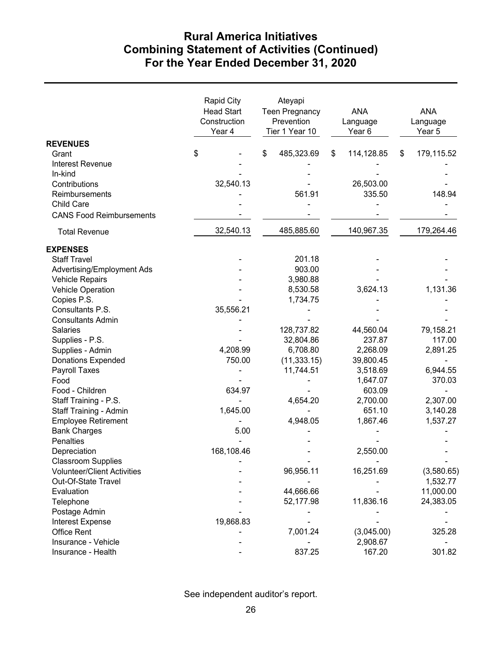| Year 6<br>Year 4<br><b>REVENUES</b><br>\$<br>\$<br>485,323.69<br>\$<br>114,128.85<br>\$<br>179,115.52<br>Grant<br><b>Interest Revenue</b><br>In-kind<br>32,540.13<br>26,503.00<br>Contributions<br>561.91<br>335.50<br>Reimbursements<br><b>Child Care</b><br><b>CANS Food Reimbursements</b><br>32,540.13<br>485,885.60<br>140,967.35<br>179,264.46<br><b>Total Revenue</b><br><b>EXPENSES</b><br>201.18<br><b>Staff Travel</b><br>903.00<br>Advertising/Employment Ads<br>Vehicle Repairs<br>3,980.88<br>Vehicle Operation<br>8,530.58<br>3,624.13<br>1,734.75<br>Copies P.S.<br>35,556.21<br>Consultants P.S. | <b>ANA</b><br>Language<br>Year 5 |  |
|------------------------------------------------------------------------------------------------------------------------------------------------------------------------------------------------------------------------------------------------------------------------------------------------------------------------------------------------------------------------------------------------------------------------------------------------------------------------------------------------------------------------------------------------------------------------------------------------------------------|----------------------------------|--|
|                                                                                                                                                                                                                                                                                                                                                                                                                                                                                                                                                                                                                  |                                  |  |
|                                                                                                                                                                                                                                                                                                                                                                                                                                                                                                                                                                                                                  |                                  |  |
|                                                                                                                                                                                                                                                                                                                                                                                                                                                                                                                                                                                                                  |                                  |  |
|                                                                                                                                                                                                                                                                                                                                                                                                                                                                                                                                                                                                                  |                                  |  |
|                                                                                                                                                                                                                                                                                                                                                                                                                                                                                                                                                                                                                  |                                  |  |
|                                                                                                                                                                                                                                                                                                                                                                                                                                                                                                                                                                                                                  | 148.94                           |  |
|                                                                                                                                                                                                                                                                                                                                                                                                                                                                                                                                                                                                                  |                                  |  |
|                                                                                                                                                                                                                                                                                                                                                                                                                                                                                                                                                                                                                  |                                  |  |
|                                                                                                                                                                                                                                                                                                                                                                                                                                                                                                                                                                                                                  |                                  |  |
|                                                                                                                                                                                                                                                                                                                                                                                                                                                                                                                                                                                                                  |                                  |  |
|                                                                                                                                                                                                                                                                                                                                                                                                                                                                                                                                                                                                                  |                                  |  |
|                                                                                                                                                                                                                                                                                                                                                                                                                                                                                                                                                                                                                  |                                  |  |
|                                                                                                                                                                                                                                                                                                                                                                                                                                                                                                                                                                                                                  |                                  |  |
|                                                                                                                                                                                                                                                                                                                                                                                                                                                                                                                                                                                                                  | 1,131.36                         |  |
|                                                                                                                                                                                                                                                                                                                                                                                                                                                                                                                                                                                                                  |                                  |  |
|                                                                                                                                                                                                                                                                                                                                                                                                                                                                                                                                                                                                                  |                                  |  |
| <b>Consultants Admin</b>                                                                                                                                                                                                                                                                                                                                                                                                                                                                                                                                                                                         |                                  |  |
| 128,737.82<br>44,560.04<br>79,158.21<br><b>Salaries</b>                                                                                                                                                                                                                                                                                                                                                                                                                                                                                                                                                          |                                  |  |
| 32,804.86<br>237.87<br>Supplies - P.S.                                                                                                                                                                                                                                                                                                                                                                                                                                                                                                                                                                           | 117.00                           |  |
| Supplies - Admin<br>4,208.99<br>6,708.80<br>2,268.09                                                                                                                                                                                                                                                                                                                                                                                                                                                                                                                                                             | 2,891.25                         |  |
| 750.00<br>(11, 333.15)<br>Donations Expended<br>39,800.45                                                                                                                                                                                                                                                                                                                                                                                                                                                                                                                                                        |                                  |  |
| 11,744.51<br>Payroll Taxes<br>3,518.69                                                                                                                                                                                                                                                                                                                                                                                                                                                                                                                                                                           | 6,944.55                         |  |
| Food<br>1,647.07                                                                                                                                                                                                                                                                                                                                                                                                                                                                                                                                                                                                 | 370.03                           |  |
| 634.97<br>603.09<br>Food - Children                                                                                                                                                                                                                                                                                                                                                                                                                                                                                                                                                                              |                                  |  |
| 4,654.20<br>2,700.00<br>Staff Training - P.S.                                                                                                                                                                                                                                                                                                                                                                                                                                                                                                                                                                    | 2,307.00                         |  |
| 1,645.00<br>651.10<br>Staff Training - Admin                                                                                                                                                                                                                                                                                                                                                                                                                                                                                                                                                                     | 3,140.28                         |  |
| <b>Employee Retirement</b><br>4,948.05<br>1,867.46                                                                                                                                                                                                                                                                                                                                                                                                                                                                                                                                                               | 1,537.27                         |  |
| 5.00<br><b>Bank Charges</b>                                                                                                                                                                                                                                                                                                                                                                                                                                                                                                                                                                                      |                                  |  |
| <b>Penalties</b>                                                                                                                                                                                                                                                                                                                                                                                                                                                                                                                                                                                                 |                                  |  |
| 168,108.46<br>2,550.00<br>Depreciation                                                                                                                                                                                                                                                                                                                                                                                                                                                                                                                                                                           |                                  |  |
| <b>Classroom Supplies</b>                                                                                                                                                                                                                                                                                                                                                                                                                                                                                                                                                                                        |                                  |  |
| <b>Volunteer/Client Activities</b><br>96,956.11<br>16,251.69<br>(3,580.65)                                                                                                                                                                                                                                                                                                                                                                                                                                                                                                                                       |                                  |  |
| Out-Of-State Travel                                                                                                                                                                                                                                                                                                                                                                                                                                                                                                                                                                                              | 1,532.77                         |  |
| 44,666.66<br>11,000.00<br>Evaluation                                                                                                                                                                                                                                                                                                                                                                                                                                                                                                                                                                             |                                  |  |
| 11,836.16<br>24,383.05<br>52,177.98<br>Telephone                                                                                                                                                                                                                                                                                                                                                                                                                                                                                                                                                                 |                                  |  |
| Postage Admin                                                                                                                                                                                                                                                                                                                                                                                                                                                                                                                                                                                                    |                                  |  |
| 19,868.83<br>Interest Expense                                                                                                                                                                                                                                                                                                                                                                                                                                                                                                                                                                                    |                                  |  |
| 7,001.24<br>(3,045.00)<br><b>Office Rent</b>                                                                                                                                                                                                                                                                                                                                                                                                                                                                                                                                                                     | 325.28                           |  |
| Insurance - Vehicle<br>2,908.67                                                                                                                                                                                                                                                                                                                                                                                                                                                                                                                                                                                  |                                  |  |
| 837.25<br>167.20<br>Insurance - Health                                                                                                                                                                                                                                                                                                                                                                                                                                                                                                                                                                           | 301.82                           |  |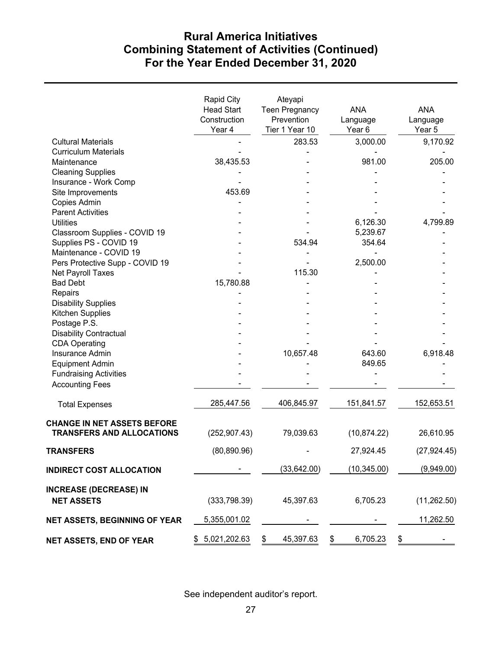|                                      | <b>Rapid City</b><br><b>Head Start</b><br>Construction<br>Year 4 | Ateyapi<br><b>Teen Pregnancy</b><br>Prevention<br>Tier 1 Year 10 | <b>ANA</b><br>Language<br>Year 6 | <b>ANA</b><br>Language<br>Year 5 |
|--------------------------------------|------------------------------------------------------------------|------------------------------------------------------------------|----------------------------------|----------------------------------|
| <b>Cultural Materials</b>            |                                                                  | 283.53                                                           | 3,000.00                         | 9,170.92                         |
| <b>Curriculum Materials</b>          |                                                                  |                                                                  |                                  |                                  |
| Maintenance                          | 38,435.53                                                        |                                                                  | 981.00                           | 205.00                           |
| <b>Cleaning Supplies</b>             |                                                                  |                                                                  |                                  |                                  |
| Insurance - Work Comp                |                                                                  |                                                                  |                                  |                                  |
| Site Improvements                    | 453.69                                                           |                                                                  |                                  |                                  |
| Copies Admin                         |                                                                  |                                                                  |                                  |                                  |
| <b>Parent Activities</b>             |                                                                  |                                                                  |                                  |                                  |
| <b>Utilities</b>                     |                                                                  |                                                                  | 6,126.30                         | 4,799.89                         |
| Classroom Supplies - COVID 19        |                                                                  |                                                                  | 5,239.67                         |                                  |
| Supplies PS - COVID 19               |                                                                  | 534.94                                                           | 354.64                           |                                  |
| Maintenance - COVID 19               |                                                                  |                                                                  |                                  |                                  |
| Pers Protective Supp - COVID 19      |                                                                  |                                                                  | 2,500.00                         |                                  |
| Net Payroll Taxes                    |                                                                  | 115.30                                                           |                                  |                                  |
| <b>Bad Debt</b>                      | 15,780.88                                                        |                                                                  |                                  |                                  |
| Repairs                              |                                                                  |                                                                  |                                  |                                  |
| <b>Disability Supplies</b>           |                                                                  |                                                                  |                                  |                                  |
| Kitchen Supplies                     |                                                                  |                                                                  |                                  |                                  |
| Postage P.S.                         |                                                                  |                                                                  |                                  |                                  |
| <b>Disability Contractual</b>        |                                                                  |                                                                  |                                  |                                  |
| <b>CDA Operating</b>                 |                                                                  |                                                                  |                                  |                                  |
| Insurance Admin                      |                                                                  | 10,657.48                                                        | 643.60                           | 6,918.48                         |
| <b>Equipment Admin</b>               |                                                                  |                                                                  | 849.65                           |                                  |
| <b>Fundraising Activities</b>        |                                                                  |                                                                  |                                  |                                  |
| <b>Accounting Fees</b>               |                                                                  |                                                                  |                                  |                                  |
| <b>Total Expenses</b>                | 285,447.56                                                       | 406,845.97                                                       | 151,841.57                       | 152,653.51                       |
| <b>CHANGE IN NET ASSETS BEFORE</b>   |                                                                  |                                                                  |                                  |                                  |
| <b>TRANSFERS AND ALLOCATIONS</b>     | (252, 907.43)                                                    | 79,039.63                                                        | (10, 874.22)                     | 26,610.95                        |
| <b>TRANSFERS</b>                     | (80, 890.96)                                                     |                                                                  | 27,924.45                        | (27, 924.45)                     |
| <b>INDIRECT COST ALLOCATION</b>      |                                                                  | (33, 642.00)                                                     | (10, 345.00)                     | (9,949.00)                       |
| <b>INCREASE (DECREASE) IN</b>        |                                                                  |                                                                  |                                  |                                  |
| <b>NET ASSETS</b>                    | (333,798.39)                                                     | 45,397.63                                                        | 6,705.23                         | (11, 262.50)                     |
| <b>NET ASSETS, BEGINNING OF YEAR</b> | 5,355,001.02                                                     |                                                                  |                                  | 11,262.50                        |
| <b>NET ASSETS, END OF YEAR</b>       | \$5,021,202.63                                                   | 45,397.63<br>\$                                                  | 6,705.23<br>$\frac{3}{2}$        | <u>\$</u>                        |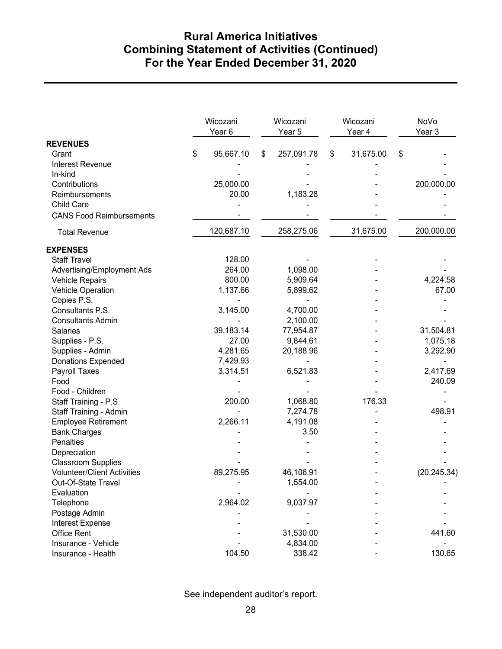|                                    |    | Wicozani<br>Year 6 |    | Wicozani<br>Year 5 |    | Wicozani<br>Year 4 |    | NoVo<br>Year 3 |  |
|------------------------------------|----|--------------------|----|--------------------|----|--------------------|----|----------------|--|
| <b>REVENUES</b>                    |    |                    |    |                    |    |                    |    |                |  |
| Grant                              | \$ | 95,667.10          | \$ | 257,091.78         | \$ | 31,675.00          | \$ |                |  |
| <b>Interest Revenue</b>            |    |                    |    |                    |    |                    |    |                |  |
| In-kind                            |    |                    |    |                    |    |                    |    |                |  |
| Contributions                      |    | 25,000.00          |    |                    |    |                    |    | 200,000.00     |  |
| Reimbursements                     |    | 20.00              |    | 1,183.28           |    |                    |    |                |  |
| Child Care                         |    |                    |    |                    |    |                    |    |                |  |
| <b>CANS Food Reimbursements</b>    |    |                    |    |                    |    |                    |    |                |  |
| <b>Total Revenue</b>               |    | 120,687.10         |    | 258,275.06         |    | 31,675.00          |    | 200,000.00     |  |
| <b>EXPENSES</b>                    |    |                    |    |                    |    |                    |    |                |  |
| <b>Staff Travel</b>                |    | 128.00             |    |                    |    |                    |    |                |  |
| Advertising/Employment Ads         |    | 264.00             |    | 1,098.00           |    |                    |    |                |  |
| Vehicle Repairs                    |    | 800.00             |    | 5,909.64           |    |                    |    | 4,224.58       |  |
| Vehicle Operation                  |    | 1,137.66           |    | 5,899.62           |    |                    |    | 67.00          |  |
| Copies P.S.                        |    |                    |    |                    |    |                    |    |                |  |
| Consultants P.S.                   |    | 3,145.00           |    | 4,700.00           |    |                    |    |                |  |
| <b>Consultants Admin</b>           |    |                    |    | 2,100.00           |    |                    |    |                |  |
| <b>Salaries</b>                    |    | 39,183.14          |    | 77,954.87          |    |                    |    | 31,504.81      |  |
| Supplies - P.S.                    |    | 27.00              |    | 9,844.61           |    |                    |    | 1,075.18       |  |
| Supplies - Admin                   |    | 4,281.65           |    | 20,188.96          |    |                    |    | 3,292.90       |  |
| <b>Donations Expended</b>          |    | 7,429.93           |    |                    |    |                    |    |                |  |
| Payroll Taxes                      |    | 3,314.51           |    | 6,521.83           |    |                    |    | 2,417.69       |  |
| Food                               |    |                    |    |                    |    |                    |    | 240.09         |  |
| Food - Children                    |    |                    |    |                    |    |                    |    |                |  |
| Staff Training - P.S.              |    | 200.00             |    | 1,068.80           |    | 176.33             |    |                |  |
| Staff Training - Admin             |    |                    |    | 7,274.78           |    |                    |    | 498.91         |  |
| <b>Employee Retirement</b>         |    | 2,266.11           |    | 4,191.08           |    |                    |    |                |  |
| <b>Bank Charges</b>                |    |                    |    | 3.50               |    |                    |    |                |  |
| <b>Penalties</b>                   |    |                    |    |                    |    |                    |    |                |  |
| Depreciation                       |    |                    |    |                    |    |                    |    |                |  |
| <b>Classroom Supplies</b>          |    |                    |    |                    |    |                    |    |                |  |
| <b>Volunteer/Client Activities</b> |    | 89,275.95          |    | 46,106.91          |    |                    |    | (20, 245.34)   |  |
| Out-Of-State Travel                |    |                    |    | 1,554.00           |    |                    |    |                |  |
| Evaluation                         |    |                    |    |                    |    |                    |    |                |  |
| Telephone                          |    | 2,964.02           |    | 9,037.97           |    |                    |    |                |  |
| Postage Admin                      |    |                    |    |                    |    |                    |    |                |  |
| Interest Expense                   |    |                    |    |                    |    |                    |    |                |  |
| <b>Office Rent</b>                 |    |                    |    | 31,530.00          |    |                    |    | 441.60         |  |
| Insurance - Vehicle                |    |                    |    | 4,834.00           |    |                    |    |                |  |
| Insurance - Health                 |    | 104.50             |    | 338.42             |    |                    |    | 130.65         |  |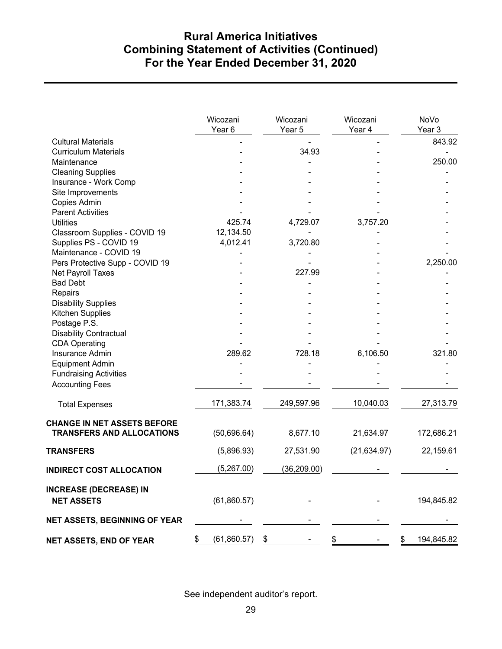|                                                                        | Wicozani<br>Year 6 | Wicozani<br>Year 5 | Wicozani<br>Year 4 | NoVo<br>Year 3   |
|------------------------------------------------------------------------|--------------------|--------------------|--------------------|------------------|
| <b>Cultural Materials</b>                                              |                    |                    |                    | 843.92           |
| <b>Curriculum Materials</b>                                            |                    | 34.93              |                    |                  |
| Maintenance                                                            |                    |                    |                    | 250.00           |
| <b>Cleaning Supplies</b>                                               |                    |                    |                    |                  |
| Insurance - Work Comp                                                  |                    |                    |                    |                  |
| Site Improvements                                                      |                    |                    |                    |                  |
| Copies Admin                                                           |                    |                    |                    |                  |
| <b>Parent Activities</b>                                               |                    |                    |                    |                  |
| <b>Utilities</b>                                                       | 425.74             | 4,729.07           | 3,757.20           |                  |
| Classroom Supplies - COVID 19                                          | 12,134.50          |                    |                    |                  |
| Supplies PS - COVID 19                                                 | 4,012.41           | 3,720.80           |                    |                  |
| Maintenance - COVID 19                                                 |                    |                    |                    |                  |
| Pers Protective Supp - COVID 19                                        |                    |                    |                    | 2,250.00         |
| <b>Net Payroll Taxes</b>                                               |                    | 227.99             |                    |                  |
| <b>Bad Debt</b>                                                        |                    |                    |                    |                  |
| Repairs                                                                |                    |                    |                    |                  |
| <b>Disability Supplies</b>                                             |                    |                    |                    |                  |
| Kitchen Supplies                                                       |                    |                    |                    |                  |
| Postage P.S.                                                           |                    |                    |                    |                  |
| <b>Disability Contractual</b>                                          |                    |                    |                    |                  |
| <b>CDA Operating</b>                                                   |                    |                    |                    |                  |
| Insurance Admin                                                        | 289.62             | 728.18             | 6,106.50           | 321.80           |
| <b>Equipment Admin</b>                                                 |                    |                    |                    |                  |
| <b>Fundraising Activities</b>                                          |                    |                    |                    |                  |
| <b>Accounting Fees</b>                                                 |                    |                    |                    |                  |
| <b>Total Expenses</b>                                                  | 171,383.74         | 249,597.96         | 10,040.03          | 27,313.79        |
| <b>CHANGE IN NET ASSETS BEFORE</b><br><b>TRANSFERS AND ALLOCATIONS</b> | (50,696.64)        | 8,677.10           | 21,634.97          | 172,686.21       |
|                                                                        |                    |                    |                    |                  |
| <b>TRANSFERS</b>                                                       | (5,896.93)         | 27,531.90          | (21, 634.97)       | 22,159.61        |
| <b>INDIRECT COST ALLOCATION</b>                                        | (5,267.00)         | (36, 209.00)       |                    |                  |
| <b>INCREASE (DECREASE) IN</b><br><b>NET ASSETS</b>                     | (61,860.57)        |                    |                    | 194,845.82       |
| <b>NET ASSETS, BEGINNING OF YEAR</b>                                   |                    |                    |                    |                  |
| <b>NET ASSETS, END OF YEAR</b>                                         | (61,860.57)<br>\$  | \$                 | \$                 | 194,845.82<br>\$ |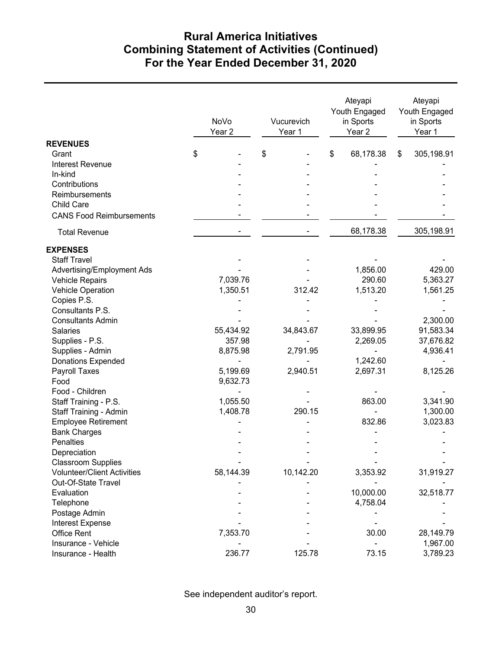|                                    | NoVo<br>Year <sub>2</sub> |           | Vucurevich<br>Year 1 |    | Ateyapi<br>Youth Engaged<br>in Sports<br>Year 2 |    | Ateyapi<br>Youth Engaged<br>in Sports<br>Year 1 |  |
|------------------------------------|---------------------------|-----------|----------------------|----|-------------------------------------------------|----|-------------------------------------------------|--|
| <b>REVENUES</b>                    |                           |           |                      |    |                                                 |    |                                                 |  |
| Grant                              | \$                        |           | \$                   | \$ | 68,178.38                                       | \$ | 305,198.91                                      |  |
| <b>Interest Revenue</b>            |                           |           |                      |    |                                                 |    |                                                 |  |
| In-kind                            |                           |           |                      |    |                                                 |    |                                                 |  |
| Contributions                      |                           |           |                      |    |                                                 |    |                                                 |  |
| Reimbursements                     |                           |           |                      |    |                                                 |    |                                                 |  |
| Child Care                         |                           |           |                      |    |                                                 |    |                                                 |  |
| <b>CANS Food Reimbursements</b>    |                           |           |                      |    |                                                 |    |                                                 |  |
| <b>Total Revenue</b>               |                           |           |                      |    | 68,178.38                                       |    | 305,198.91                                      |  |
| <b>EXPENSES</b>                    |                           |           |                      |    |                                                 |    |                                                 |  |
| <b>Staff Travel</b>                |                           |           |                      |    |                                                 |    |                                                 |  |
| Advertising/Employment Ads         |                           |           |                      |    | 1,856.00                                        |    | 429.00                                          |  |
| <b>Vehicle Repairs</b>             |                           | 7,039.76  |                      |    | 290.60                                          |    | 5,363.27                                        |  |
| Vehicle Operation                  |                           | 1,350.51  | 312.42               |    | 1,513.20                                        |    | 1,561.25                                        |  |
| Copies P.S.                        |                           |           |                      |    |                                                 |    |                                                 |  |
| Consultants P.S.                   |                           |           |                      |    |                                                 |    |                                                 |  |
| <b>Consultants Admin</b>           |                           |           |                      |    |                                                 |    | 2,300.00                                        |  |
| <b>Salaries</b>                    |                           | 55,434.92 | 34,843.67            |    | 33,899.95                                       |    | 91,583.34                                       |  |
| Supplies - P.S.                    |                           | 357.98    |                      |    | 2,269.05                                        |    | 37,676.82                                       |  |
| Supplies - Admin                   |                           | 8,875.98  | 2,791.95             |    |                                                 |    | 4,936.41                                        |  |
| <b>Donations Expended</b>          |                           |           |                      |    | 1,242.60                                        |    |                                                 |  |
| <b>Payroll Taxes</b>               |                           | 5,199.69  | 2,940.51             |    | 2,697.31                                        |    | 8,125.26                                        |  |
| Food                               |                           | 9,632.73  |                      |    |                                                 |    |                                                 |  |
| Food - Children                    |                           |           |                      |    |                                                 |    |                                                 |  |
| Staff Training - P.S.              |                           | 1,055.50  |                      |    | 863.00                                          |    | 3,341.90                                        |  |
| Staff Training - Admin             |                           | 1,408.78  | 290.15               |    |                                                 |    | 1,300.00                                        |  |
| <b>Employee Retirement</b>         |                           |           |                      |    | 832.86                                          |    | 3,023.83                                        |  |
| <b>Bank Charges</b>                |                           |           |                      |    |                                                 |    |                                                 |  |
| <b>Penalties</b>                   |                           |           |                      |    |                                                 |    |                                                 |  |
| Depreciation                       |                           |           |                      |    |                                                 |    |                                                 |  |
| <b>Classroom Supplies</b>          |                           |           |                      |    |                                                 |    |                                                 |  |
| <b>Volunteer/Client Activities</b> |                           | 58,144.39 | 10,142.20            |    | 3,353.92                                        |    | 31,919.27                                       |  |
| Out-Of-State Travel                |                           |           |                      |    |                                                 |    |                                                 |  |
| Evaluation                         |                           |           |                      |    | 10,000.00                                       |    | 32,518.77                                       |  |
| Telephone                          |                           |           |                      |    | 4,758.04                                        |    |                                                 |  |
|                                    |                           |           |                      |    |                                                 |    |                                                 |  |
| Postage Admin                      |                           |           |                      |    |                                                 |    |                                                 |  |
| Interest Expense                   |                           | 7,353.70  |                      |    | 30.00                                           |    | 28,149.79                                       |  |
| Office Rent                        |                           |           |                      |    |                                                 |    |                                                 |  |
| Insurance - Vehicle                |                           |           |                      |    |                                                 |    | 1,967.00                                        |  |
| Insurance - Health                 |                           | 236.77    | 125.78               |    | 73.15                                           |    | 3,789.23                                        |  |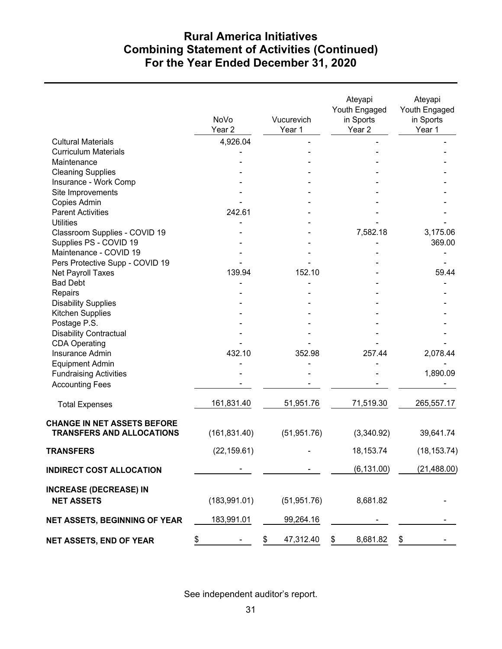|                                      | NoVo<br>Year <sub>2</sub> | Vucurevich<br>Year 1 | Ateyapi<br>Youth Engaged<br>in Sports<br>Year <sub>2</sub> | Ateyapi<br>Youth Engaged<br>in Sports<br>Year 1 |
|--------------------------------------|---------------------------|----------------------|------------------------------------------------------------|-------------------------------------------------|
| <b>Cultural Materials</b>            | 4,926.04                  |                      |                                                            |                                                 |
| <b>Curriculum Materials</b>          |                           |                      |                                                            |                                                 |
| Maintenance                          |                           |                      |                                                            |                                                 |
| <b>Cleaning Supplies</b>             |                           |                      |                                                            |                                                 |
| Insurance - Work Comp                |                           |                      |                                                            |                                                 |
| Site Improvements                    |                           |                      |                                                            |                                                 |
| Copies Admin                         |                           |                      |                                                            |                                                 |
| <b>Parent Activities</b>             | 242.61                    |                      |                                                            |                                                 |
| <b>Utilities</b>                     |                           |                      |                                                            |                                                 |
| Classroom Supplies - COVID 19        |                           |                      | 7,582.18                                                   | 3,175.06                                        |
| Supplies PS - COVID 19               |                           |                      |                                                            | 369.00                                          |
| Maintenance - COVID 19               |                           |                      |                                                            |                                                 |
| Pers Protective Supp - COVID 19      |                           |                      |                                                            |                                                 |
| <b>Net Payroll Taxes</b>             | 139.94                    | 152.10               |                                                            | 59.44                                           |
| <b>Bad Debt</b>                      |                           |                      |                                                            |                                                 |
| Repairs                              |                           |                      |                                                            |                                                 |
| <b>Disability Supplies</b>           |                           |                      |                                                            |                                                 |
| Kitchen Supplies                     |                           |                      |                                                            |                                                 |
| Postage P.S.                         |                           |                      |                                                            |                                                 |
| <b>Disability Contractual</b>        |                           |                      |                                                            |                                                 |
| <b>CDA Operating</b>                 |                           |                      |                                                            |                                                 |
| Insurance Admin                      | 432.10                    | 352.98               | 257.44                                                     | 2,078.44                                        |
| <b>Equipment Admin</b>               |                           |                      |                                                            |                                                 |
| <b>Fundraising Activities</b>        |                           |                      |                                                            | 1,890.09                                        |
| <b>Accounting Fees</b>               |                           |                      |                                                            |                                                 |
| <b>Total Expenses</b>                | 161,831.40                | 51,951.76            | 71,519.30                                                  | 265,557.17                                      |
| <b>CHANGE IN NET ASSETS BEFORE</b>   |                           |                      |                                                            |                                                 |
| <b>TRANSFERS AND ALLOCATIONS</b>     | (161, 831.40)             | (51, 951.76)         | (3,340.92)                                                 | 39,641.74                                       |
| <b>TRANSFERS</b>                     | (22, 159.61)              |                      | 18, 153. 74                                                | (18, 153.74)                                    |
| <b>INDIRECT COST ALLOCATION</b>      |                           |                      | (6, 131.00)                                                | (21, 488.00)                                    |
| <b>INCREASE (DECREASE) IN</b>        |                           |                      |                                                            |                                                 |
| <b>NET ASSETS</b>                    | (183, 991.01)             | (51, 951.76)         | 8,681.82                                                   |                                                 |
| <b>NET ASSETS, BEGINNING OF YEAR</b> | 183,991.01                | 99,264.16            |                                                            |                                                 |
| <b>NET ASSETS, END OF YEAR</b>       | \$                        | 47,312.40<br>\$      | 8,681.82<br>\$                                             | $\frac{1}{2}$                                   |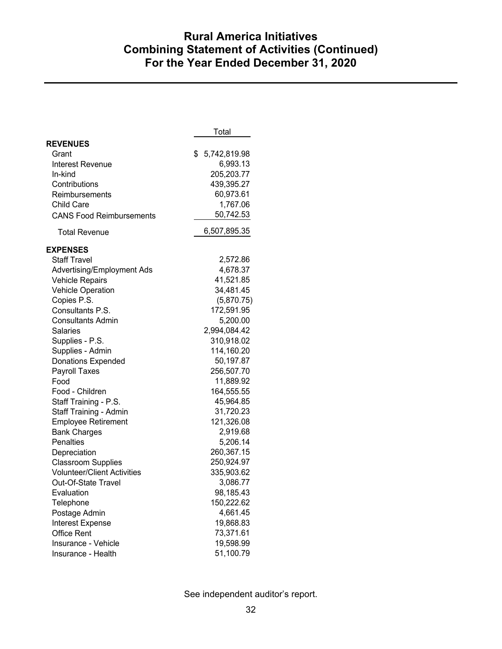|                                    | Total              |  |
|------------------------------------|--------------------|--|
| <b>REVENUES</b>                    |                    |  |
| Grant                              | \$<br>5,742,819.98 |  |
| <b>Interest Revenue</b>            | 6,993.13           |  |
| In-kind                            | 205,203.77         |  |
| Contributions                      | 439,395.27         |  |
| Reimbursements                     | 60,973.61          |  |
| <b>Child Care</b>                  | 1,767.06           |  |
| <b>CANS Food Reimbursements</b>    | 50,742.53          |  |
| <b>Total Revenue</b>               | 6,507,895.35       |  |
| <b>EXPENSES</b>                    |                    |  |
| <b>Staff Travel</b>                | 2,572.86           |  |
| Advertising/Employment Ads         | 4,678.37           |  |
| Vehicle Repairs                    | 41,521.85          |  |
| <b>Vehicle Operation</b>           | 34,481.45          |  |
| Copies P.S.                        | (5,870.75)         |  |
| Consultants P.S.                   | 172,591.95         |  |
| <b>Consultants Admin</b>           | 5,200.00           |  |
| <b>Salaries</b>                    | 2,994,084.42       |  |
| Supplies - P.S.                    | 310,918.02         |  |
| Supplies - Admin                   | 114,160.20         |  |
| <b>Donations Expended</b>          | 50,197.87          |  |
| Payroll Taxes                      | 256,507.70         |  |
| Food                               | 11,889.92          |  |
| Food - Children                    | 164,555.55         |  |
| Staff Training - P.S.              | 45,964.85          |  |
| Staff Training - Admin             | 31,720.23          |  |
| <b>Employee Retirement</b>         | 121,326.08         |  |
| <b>Bank Charges</b>                | 2,919.68           |  |
| <b>Penalties</b>                   | 5,206.14           |  |
| Depreciation                       | 260,367.15         |  |
| <b>Classroom Supplies</b>          | 250,924.97         |  |
| <b>Volunteer/Client Activities</b> | 335,903.62         |  |
| Out-Of-State Travel                | 3,086.77           |  |
| Evaluation                         | 98,185.43          |  |
| Telephone                          | 150,222.62         |  |
| Postage Admin                      | 4,661.45           |  |
| Interest Expense                   | 19,868.83          |  |
| <b>Office Rent</b>                 | 73,371.61          |  |
| Insurance - Vehicle                | 19,598.99          |  |
| Insurance - Health                 | 51,100.79          |  |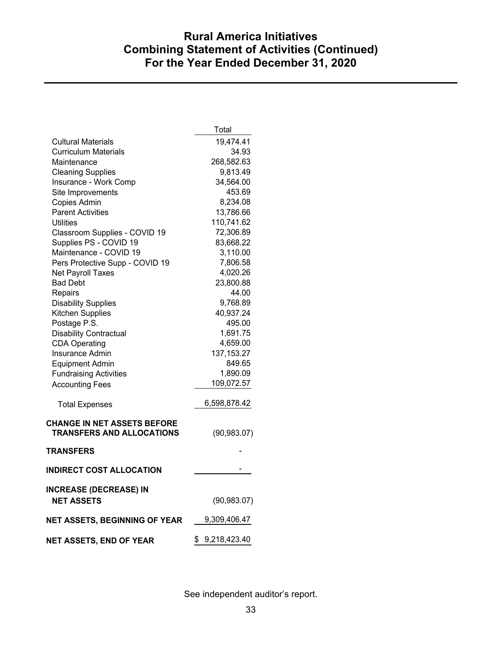|                                                                        | Total              |
|------------------------------------------------------------------------|--------------------|
| <b>Cultural Materials</b>                                              | 19,474.41          |
| <b>Curriculum Materials</b>                                            | 34.93              |
| Maintenance                                                            | 268,582.63         |
| <b>Cleaning Supplies</b>                                               | 9,813.49           |
| Insurance - Work Comp                                                  | 34,564.00          |
| Site Improvements                                                      | 453.69             |
| Copies Admin                                                           | 8,234.08           |
| <b>Parent Activities</b>                                               | 13,786.66          |
| <b>Utilities</b>                                                       | 110,741.62         |
| Classroom Supplies - COVID 19                                          | 72,306.89          |
| Supplies PS - COVID 19                                                 | 83,668.22          |
| Maintenance - COVID 19                                                 | 3,110.00           |
| Pers Protective Supp - COVID 19                                        | 7,806.58           |
| Net Payroll Taxes                                                      | 4,020.26           |
| <b>Bad Debt</b>                                                        | 23,800.88          |
| Repairs                                                                | 44.00              |
| <b>Disability Supplies</b>                                             | 9,768.89           |
| Kitchen Supplies                                                       | 40,937.24          |
| Postage P.S.                                                           | 495.00             |
| <b>Disability Contractual</b>                                          | 1,691.75           |
| <b>CDA Operating</b>                                                   | 4,659.00           |
| Insurance Admin                                                        | 137, 153. 27       |
| <b>Equipment Admin</b>                                                 | 849.65             |
| <b>Fundraising Activities</b>                                          | 1,890.09           |
| <b>Accounting Fees</b>                                                 | 109,072.57         |
| <b>Total Expenses</b>                                                  | 6,598,878.42       |
| <b>CHANGE IN NET ASSETS BEFORE</b><br><b>TRANSFERS AND ALLOCATIONS</b> | (90, 983.07)       |
| TRANSFERS                                                              |                    |
| <b>INDIRECT COST ALLOCATION</b>                                        |                    |
| <b>INCREASE (DECREASE) IN</b><br><b>NET ASSETS</b>                     | (90, 983.07)       |
| <b>NET ASSETS, BEGINNING OF YEAR</b>                                   | 9,309,406.47       |
| <b>NET ASSETS, END OF YEAR</b>                                         | 9,218,423.40<br>\$ |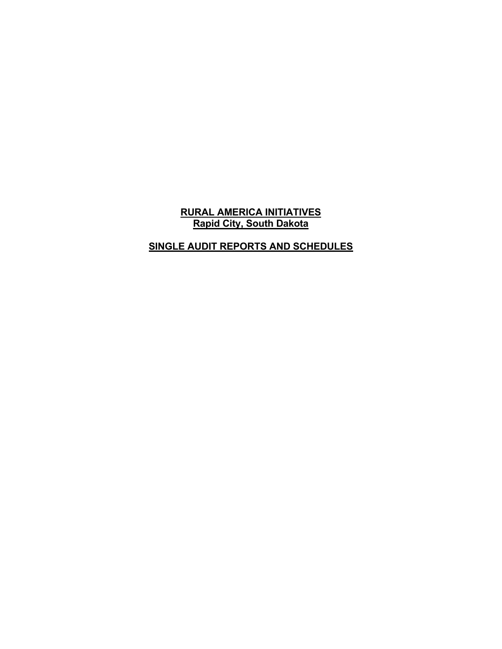# **SINGLE AUDIT REPORTS AND SCHEDULES**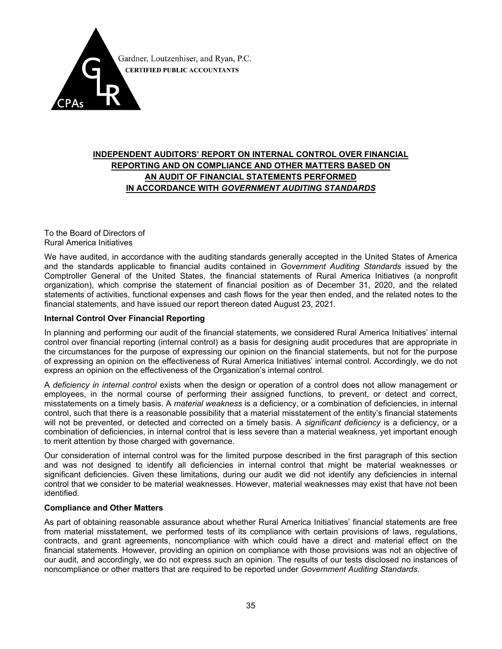

## **INDEPENDENT AUDITORS' REPORT ON INTERNAL CONTROL OVER FINANCIAL REPORTING AND ON COMPLIANCE AND OTHER MATTERS BASED ON AN AUDIT OF FINANCIAL STATEMENTS PERFORMED IN ACCORDANCE WITH** *GOVERNMENT AUDITING STANDARDS*

To the Board of Directors of Rural America Initiatives

We have audited, in accordance with the auditing standards generally accepted in the United States of America and the standards applicable to financial audits contained in *Government Auditing Standards* issued by the Comptroller General of the United States, the financial statements of Rural America Initiatives (a nonprofit organization), which comprise the statement of financial position as of December 31, 2020, and the related statements of activities, functional expenses and cash flows for the year then ended, and the related notes to the financial statements, and have issued our report thereon dated August 23, 2021.

#### **Internal Control Over Financial Reporting**

In planning and performing our audit of the financial statements, we considered Rural America Initiatives' internal control over financial reporting (internal control) as a basis for designing audit procedures that are appropriate in the circumstances for the purpose of expressing our opinion on the financial statements, but not for the purpose of expressing an opinion on the effectiveness of Rural America Initiatives' internal control. Accordingly, we do not express an opinion on the effectiveness of the Organization's internal control.

A *deficiency in internal control* exists when the design or operation of a control does not allow management or employees, in the normal course of performing their assigned functions, to prevent, or detect and correct, misstatements on a timely basis. A *material weakness* is a deficiency, or a combination of deficiencies, in internal control, such that there is a reasonable possibility that a material misstatement of the entity's financial statements will not be prevented, or detected and corrected on a timely basis. A *significant deficiency* is a deficiency, or a combination of deficiencies, in internal control that is less severe than a material weakness, yet important enough to merit attention by those charged with governance.

Our consideration of internal control was for the limited purpose described in the first paragraph of this section and was not designed to identify all deficiencies in internal control that might be material weaknesses or significant deficiencies. Given these limitations, during our audit we did not identify any deficiencies in internal control that we consider to be material weaknesses. However, material weaknesses may exist that have not been identified.

#### **Compliance and Other Matters**

As part of obtaining reasonable assurance about whether Rural America Initiatives' financial statements are free from material misstatement, we performed tests of its compliance with certain provisions of laws, regulations, contracts, and grant agreements, noncompliance with which could have a direct and material effect on the financial statements. However, providing an opinion on compliance with those provisions was not an objective of our audit, and accordingly, we do not express such an opinion. The results of our tests disclosed no instances of noncompliance or other matters that are required to be reported under *Government Auditing Standards*.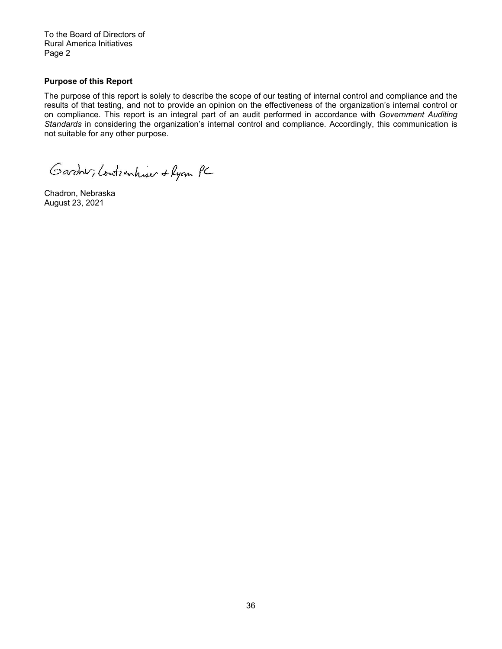To the Board of Directors of Rural America Initiatives Page 2

#### **Purpose of this Report**

The purpose of this report is solely to describe the scope of our testing of internal control and compliance and the results of that testing, and not to provide an opinion on the effectiveness of the organization's internal control or on compliance. This report is an integral part of an audit performed in accordance with *Government Auditing Standards* in considering the organization's internal control and compliance. Accordingly, this communication is not suitable for any other purpose.

Gardner, Contrentiner & fyan PC

Chadron, Nebraska August 23, 2021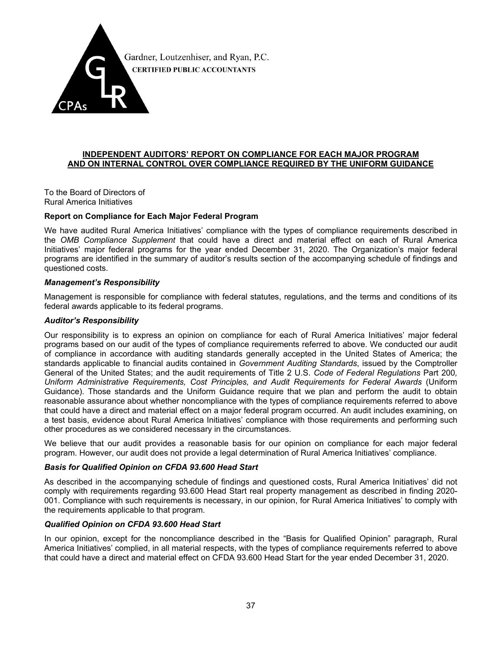

#### **INDEPENDENT AUDITORS' REPORT ON COMPLIANCE FOR EACH MAJOR PROGRAM AND ON INTERNAL CONTROL OVER COMPLIANCE REQUIRED BY THE UNIFORM GUIDANCE**

To the Board of Directors of Rural America Initiatives

#### **Report on Compliance for Each Major Federal Program**

We have audited Rural America Initiatives' compliance with the types of compliance requirements described in the *OMB Compliance Supplement* that could have a direct and material effect on each of Rural America Initiatives' major federal programs for the year ended December 31, 2020. The Organization's major federal programs are identified in the summary of auditor's results section of the accompanying schedule of findings and questioned costs.

#### *Management's Responsibility*

Management is responsible for compliance with federal statutes, regulations, and the terms and conditions of its federal awards applicable to its federal programs.

#### *Auditor's Responsibility*

Our responsibility is to express an opinion on compliance for each of Rural America Initiatives' major federal programs based on our audit of the types of compliance requirements referred to above. We conducted our audit of compliance in accordance with auditing standards generally accepted in the United States of America; the standards applicable to financial audits contained in *Government Auditing Standards*, issued by the Comptroller General of the United States; and the audit requirements of Title 2 U.S. *Code of Federal Regulations* Part 200*, Uniform Administrative Requirements, Cost Principles, and Audit Requirements for Federal Awards* (Uniform Guidance). Those standards and the Uniform Guidance require that we plan and perform the audit to obtain reasonable assurance about whether noncompliance with the types of compliance requirements referred to above that could have a direct and material effect on a major federal program occurred. An audit includes examining, on a test basis, evidence about Rural America Initiatives' compliance with those requirements and performing such other procedures as we considered necessary in the circumstances.

We believe that our audit provides a reasonable basis for our opinion on compliance for each major federal program. However, our audit does not provide a legal determination of Rural America Initiatives' compliance.

#### *Basis for Qualified Opinion on CFDA 93.600 Head Start*

As described in the accompanying schedule of findings and questioned costs, Rural America Initiatives' did not comply with requirements regarding 93.600 Head Start real property management as described in finding 2020- 001. Compliance with such requirements is necessary, in our opinion, for Rural America Initiatives' to comply with the requirements applicable to that program.

#### *Qualified Opinion on CFDA 93.600 Head Start*

In our opinion, except for the noncompliance described in the "Basis for Qualified Opinion" paragraph, Rural America Initiatives' complied, in all material respects, with the types of compliance requirements referred to above that could have a direct and material effect on CFDA 93.600 Head Start for the year ended December 31, 2020.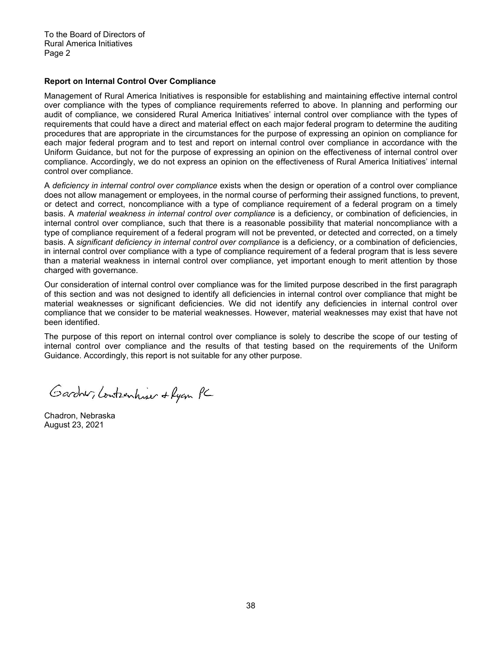To the Board of Directors of Rural America Initiatives Page 2

#### **Report on Internal Control Over Compliance**

Management of Rural America Initiatives is responsible for establishing and maintaining effective internal control over compliance with the types of compliance requirements referred to above. In planning and performing our audit of compliance, we considered Rural America Initiatives' internal control over compliance with the types of requirements that could have a direct and material effect on each major federal program to determine the auditing procedures that are appropriate in the circumstances for the purpose of expressing an opinion on compliance for each major federal program and to test and report on internal control over compliance in accordance with the Uniform Guidance, but not for the purpose of expressing an opinion on the effectiveness of internal control over compliance. Accordingly, we do not express an opinion on the effectiveness of Rural America Initiatives' internal control over compliance.

A *deficiency in internal control over compliance* exists when the design or operation of a control over compliance does not allow management or employees, in the normal course of performing their assigned functions, to prevent, or detect and correct, noncompliance with a type of compliance requirement of a federal program on a timely basis. A *material weakness in internal control over compliance* is a deficiency, or combination of deficiencies, in internal control over compliance, such that there is a reasonable possibility that material noncompliance with a type of compliance requirement of a federal program will not be prevented, or detected and corrected, on a timely basis. A *significant deficiency in internal control over compliance* is a deficiency, or a combination of deficiencies, in internal control over compliance with a type of compliance requirement of a federal program that is less severe than a material weakness in internal control over compliance, yet important enough to merit attention by those charged with governance.

Our consideration of internal control over compliance was for the limited purpose described in the first paragraph of this section and was not designed to identify all deficiencies in internal control over compliance that might be material weaknesses or significant deficiencies. We did not identify any deficiencies in internal control over compliance that we consider to be material weaknesses. However, material weaknesses may exist that have not been identified.

The purpose of this report on internal control over compliance is solely to describe the scope of our testing of internal control over compliance and the results of that testing based on the requirements of the Uniform Guidance. Accordingly, this report is not suitable for any other purpose.

Gardour, Contrentiner & fyem PC

Chadron, Nebraska August 23, 2021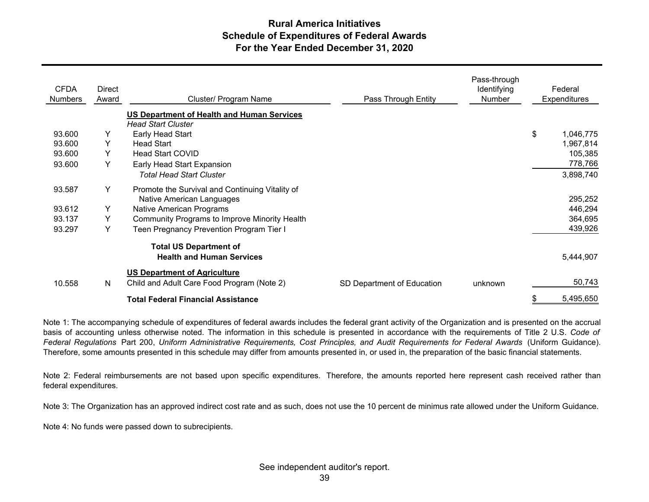# **Rural America InitiativesSchedule of Expenditures of Federal Awards For the Year Ended December 31, 2020**

| <b>CFDA</b><br><b>Numbers</b> | <b>Direct</b><br>Award | Cluster/ Program Name                                             | Pass Through Entity        | Pass-through<br>Identifying<br>Number | Federal<br><b>Expenditures</b> |
|-------------------------------|------------------------|-------------------------------------------------------------------|----------------------------|---------------------------------------|--------------------------------|
|                               |                        | <b>US Department of Health and Human Services</b>                 |                            |                                       |                                |
|                               |                        | <b>Head Start Cluster</b>                                         |                            |                                       |                                |
| 93.600                        |                        | Early Head Start                                                  |                            |                                       | \$<br>1,046,775                |
| 93.600                        | Y                      | <b>Head Start</b>                                                 |                            |                                       | 1,967,814                      |
| 93.600                        | Y                      | <b>Head Start COVID</b>                                           |                            |                                       | 105,385                        |
| 93.600                        | Y                      | Early Head Start Expansion                                        |                            |                                       | 778,766                        |
|                               |                        | <b>Total Head Start Cluster</b>                                   |                            |                                       | 3,898,740                      |
| 93.587                        | Y                      | Promote the Survival and Continuing Vitality of                   |                            |                                       |                                |
|                               |                        | Native American Languages                                         |                            |                                       | 295,252                        |
| 93.612                        | Y                      | Native American Programs                                          |                            |                                       | 446,294                        |
| 93.137                        | Υ                      | Community Programs to Improve Minority Health                     |                            |                                       | 364,695                        |
| 93.297                        | Y                      | Teen Pregnancy Prevention Program Tier I                          |                            |                                       | 439,926                        |
|                               |                        | <b>Total US Department of</b><br><b>Health and Human Services</b> |                            |                                       | 5,444,907                      |
|                               |                        | <b>US Department of Agriculture</b>                               |                            |                                       |                                |
| 10.558                        | N                      | Child and Adult Care Food Program (Note 2)                        | SD Department of Education | unknown                               | 50,743                         |
|                               |                        | <b>Total Federal Financial Assistance</b>                         |                            |                                       | 5,495,650                      |

Note 1: The accompanying schedule of expenditures of federal awards includes the federal grant activity of the Organization and is presented on the accrual basis of accounting unless otherwise noted. The information in this schedule is presented in accordance with the requirements of Title 2 U.S. *Code of* Federal Regulations Part 200, Uniform Administrative Requirements, Cost Principles, and Audit Requirements for Federal Awards (Uniform Guidance). Therefore, some amounts presented in this schedule may differ from amounts presented in, or used in, the preparation of the basic financial statements.

Note 2: Federal reimbursements are not based upon specific expenditures. Therefore, the amounts reported here represent cash received rather than federal expenditures.

Note 3: The Organization has an approved indirect cost rate and as such, does not use the 10 percent de minimus rate allowed under the Uniform Guidance.

Note 4: No funds were passed down to subrecipients.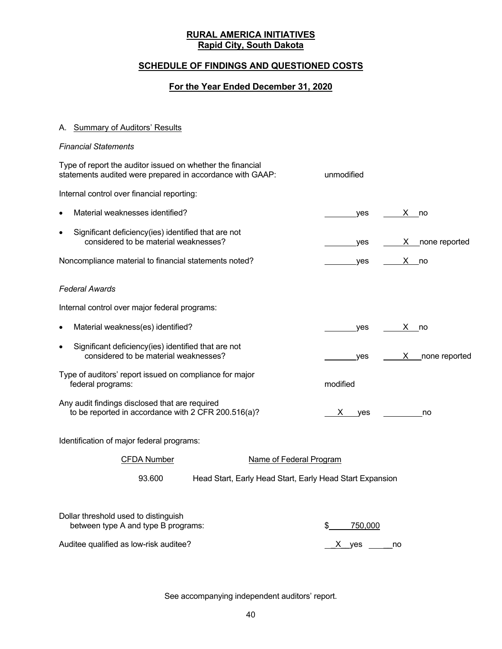## **SCHEDULE OF FINDINGS AND QUESTIONED COSTS**

### **For the Year Ended December 31, 2020**

## A. Summary of Auditors' Results

### *Financial Statements*

| Type of report the auditor issued on whether the financial<br>statements audited were prepared in accordance with GAAP:<br>unmodified |          |                     |  |  |  |  |
|---------------------------------------------------------------------------------------------------------------------------------------|----------|---------------------|--|--|--|--|
| Internal control over financial reporting:                                                                                            |          |                     |  |  |  |  |
| Material weaknesses identified?<br>$\bullet$                                                                                          | ves      | X.<br>no            |  |  |  |  |
| Significant deficiency(ies) identified that are not<br>$\bullet$<br>considered to be material weaknesses?                             | ves      | none reported<br>X. |  |  |  |  |
| Noncompliance material to financial statements noted?                                                                                 | yes      | X no                |  |  |  |  |
| <b>Federal Awards</b>                                                                                                                 |          |                     |  |  |  |  |
| Internal control over major federal programs:                                                                                         |          |                     |  |  |  |  |
| Material weakness(es) identified?<br>$\bullet$                                                                                        | ves      | X.<br>no            |  |  |  |  |
| Significant deficiency(ies) identified that are not<br>٠<br>considered to be material weaknesses?                                     | ves      | X.<br>none reported |  |  |  |  |
| Type of auditors' report issued on compliance for major<br>federal programs:                                                          | modified |                     |  |  |  |  |
| Any audit findings disclosed that are required<br>to be reported in accordance with 2 CFR 200.516(a)?                                 | ves      | no                  |  |  |  |  |
|                                                                                                                                       |          |                     |  |  |  |  |

Identification of major federal programs:

| <b>CFDA Number</b> | Name of Federal Program |
|--------------------|-------------------------|
|                    |                         |

93.600 Head Start, Early Head Start, Early Head Start Expansion

| Dollar threshold used to distinguish   |         |    |
|----------------------------------------|---------|----|
| between type A and type B programs:    | 750.000 |    |
| Auditee qualified as low-risk auditee? | X yes   | no |

See accompanying independent auditors' report.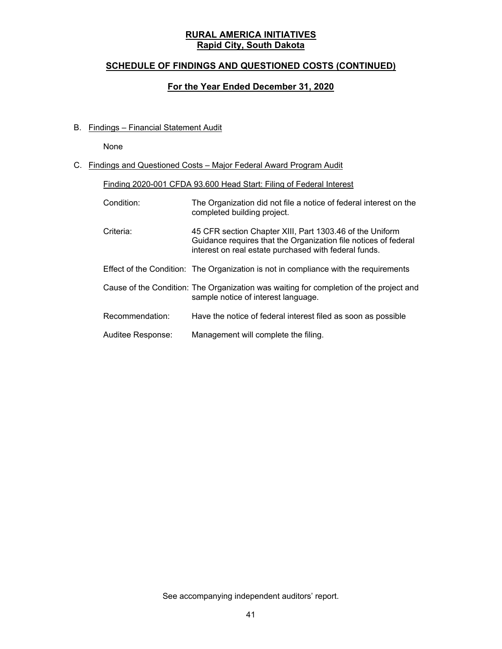### **SCHEDULE OF FINDINGS AND QUESTIONED COSTS (CONTINUED)**

### **For the Year Ended December 31, 2020**

### B. Findings – Financial Statement Audit

None

#### C. Findings and Questioned Costs – Major Federal Award Program Audit

Finding 2020-001 CFDA 93.600 Head Start: Filing of Federal Interest

| Condition:        | The Organization did not file a notice of federal interest on the<br>completed building project.                                                                                     |
|-------------------|--------------------------------------------------------------------------------------------------------------------------------------------------------------------------------------|
| Criteria:         | 45 CFR section Chapter XIII, Part 1303.46 of the Uniform<br>Guidance requires that the Organization file notices of federal<br>interest on real estate purchased with federal funds. |
|                   | Effect of the Condition: The Organization is not in compliance with the requirements                                                                                                 |
|                   | Cause of the Condition: The Organization was waiting for completion of the project and<br>sample notice of interest language.                                                        |
| Recommendation:   | Have the notice of federal interest filed as soon as possible                                                                                                                        |
| Auditee Response: | Management will complete the filing.                                                                                                                                                 |

See accompanying independent auditors' report.